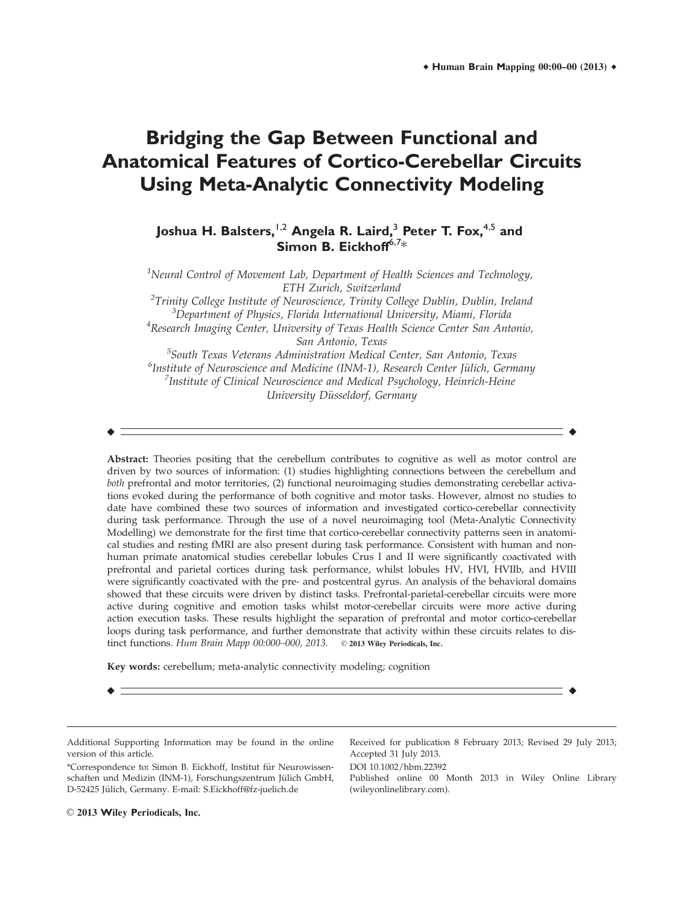# **Bridging the Gap Between Functional and Anatomical Features of Cortico-Cerebellar Circuits Using Meta-Analytic Connectivity Modeling**

**Joshua H. Balsters,**1,2 **Angela R. Laird,**<sup>3</sup> **Peter T. Fox,**4,5 **and Simon B. Eickhoff**6,7\*

 $^1$ Neural Control of Movement Lab, Department of Health Sciences and Technology, ETH Zurich, Switzerland  $^{2}$ Trinity College Institute of Neuroscience, Trinity College Dublin, Dublin, Ireland  $^3$ Department of Physics, Florida International University, Miami, Florida <sup>4</sup>Research Imaging Center, University of Texas Health Science Center San Antonio, San Antonio, Texas <sup>5</sup>South Texas Veterans Administration Medical Center, San Antonio, Texas <sup>6</sup>Institute of Neuroscience and Medicine (INM-1), Research Center Jülich, Germany<br><sup>7</sup>Institute of Clinical Neuroscience and Medical Psychology, Heinrich-Heine Institute of Clinical Neuroscience and Medical Psychology, Heinrich-Heine University Düsseldorf, Germany

 $\bullet$  -contract to the contract of the contract of the contract of the contract of the contract of the contract of the contract of the contract of the contract of the contract of the contract of the contract of the contrac

Abstract: Theories positing that the cerebellum contributes to cognitive as well as motor control are driven by two sources of information: (1) studies highlighting connections between the cerebellum and both prefrontal and motor territories, (2) functional neuroimaging studies demonstrating cerebellar activations evoked during the performance of both cognitive and motor tasks. However, almost no studies to date have combined these two sources of information and investigated cortico-cerebellar connectivity during task performance. Through the use of a novel neuroimaging tool (Meta-Analytic Connectivity Modelling) we demonstrate for the first time that cortico-cerebellar connectivity patterns seen in anatomical studies and resting fMRI are also present during task performance. Consistent with human and nonhuman primate anatomical studies cerebellar lobules Crus I and II were significantly coactivated with prefrontal and parietal cortices during task performance, whilst lobules HV, HVI, HVIIb, and HVIII were significantly coactivated with the pre- and postcentral gyrus. An analysis of the behavioral domains showed that these circuits were driven by distinct tasks. Prefrontal-parietal-cerebellar circuits were more active during cognitive and emotion tasks whilst motor-cerebellar circuits were more active during action execution tasks. These results highlight the separation of prefrontal and motor cortico-cerebellar loops during task performance, and further demonstrate that activity within these circuits relates to distinct functions. Hum Brain Mapp 00:000-000, 2013. © 2013 Wiley Periodicals, Inc.

r r

Key words: cerebellum; meta-analytic connectivity modeling; cognition

Additional Supporting Information may be found in the online version of this article.

Received for publication 8 February 2013; Revised 29 July 2013; Accepted 31 July 2013.

DOI 10.1002/hbm.22392

Published online 00 Month 2013 in Wiley Online Library (wileyonlinelibrary.com).

 $\odot$  2013 Wiley Periodicals, Inc.

<sup>\*</sup>Correspondence to: Simon B. Eickhoff, Institut fur Neurowissen- € schaften und Medizin (INM-1), Forschungszentrum Jülich GmbH, D-52425 Jülich, Germany. E-mail: S.Eickhoff@fz-juelich.de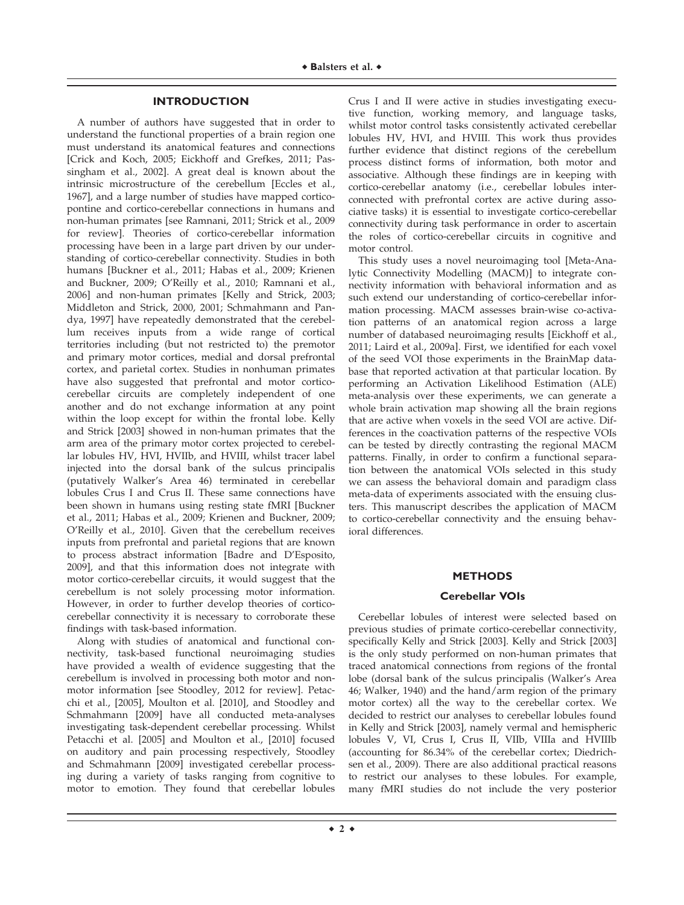#### **INTRODUCTION**

A number of authors have suggested that in order to understand the functional properties of a brain region one must understand its anatomical features and connections [Crick and Koch, 2005; Eickhoff and Grefkes, 2011; Passingham et al., 2002]. A great deal is known about the intrinsic microstructure of the cerebellum [Eccles et al., 1967], and a large number of studies have mapped corticopontine and cortico-cerebellar connections in humans and non-human primates [see Ramnani, 2011; Strick et al., 2009 for review]. Theories of cortico-cerebellar information processing have been in a large part driven by our understanding of cortico-cerebellar connectivity. Studies in both humans [Buckner et al., 2011; Habas et al., 2009; Krienen and Buckner, 2009; O'Reilly et al., 2010; Ramnani et al., 2006] and non-human primates [Kelly and Strick, 2003; Middleton and Strick, 2000, 2001; Schmahmann and Pandya, 1997] have repeatedly demonstrated that the cerebellum receives inputs from a wide range of cortical territories including (but not restricted to) the premotor and primary motor cortices, medial and dorsal prefrontal cortex, and parietal cortex. Studies in nonhuman primates have also suggested that prefrontal and motor corticocerebellar circuits are completely independent of one another and do not exchange information at any point within the loop except for within the frontal lobe. Kelly and Strick [2003] showed in non-human primates that the arm area of the primary motor cortex projected to cerebellar lobules HV, HVI, HVIIb, and HVIII, whilst tracer label injected into the dorsal bank of the sulcus principalis (putatively Walker's Area 46) terminated in cerebellar lobules Crus I and Crus II. These same connections have been shown in humans using resting state fMRI [Buckner et al., 2011; Habas et al., 2009; Krienen and Buckner, 2009; O'Reilly et al., 2010]. Given that the cerebellum receives inputs from prefrontal and parietal regions that are known to process abstract information [Badre and D'Esposito, 2009], and that this information does not integrate with motor cortico-cerebellar circuits, it would suggest that the cerebellum is not solely processing motor information. However, in order to further develop theories of corticocerebellar connectivity it is necessary to corroborate these findings with task-based information.

Along with studies of anatomical and functional connectivity, task-based functional neuroimaging studies have provided a wealth of evidence suggesting that the cerebellum is involved in processing both motor and nonmotor information [see Stoodley, 2012 for review]. Petacchi et al., [2005], Moulton et al. [2010], and Stoodley and Schmahmann [2009] have all conducted meta-analyses investigating task-dependent cerebellar processing. Whilst Petacchi et al. [2005] and Moulton et al., [2010] focused on auditory and pain processing respectively, Stoodley and Schmahmann [2009] investigated cerebellar processing during a variety of tasks ranging from cognitive to motor to emotion. They found that cerebellar lobules Crus I and II were active in studies investigating executive function, working memory, and language tasks, whilst motor control tasks consistently activated cerebellar lobules HV, HVI, and HVIII. This work thus provides further evidence that distinct regions of the cerebellum process distinct forms of information, both motor and associative. Although these findings are in keeping with cortico-cerebellar anatomy (i.e., cerebellar lobules interconnected with prefrontal cortex are active during associative tasks) it is essential to investigate cortico-cerebellar connectivity during task performance in order to ascertain the roles of cortico-cerebellar circuits in cognitive and motor control.

This study uses a novel neuroimaging tool [Meta-Analytic Connectivity Modelling (MACM)] to integrate connectivity information with behavioral information and as such extend our understanding of cortico-cerebellar information processing. MACM assesses brain-wise co-activation patterns of an anatomical region across a large number of databased neuroimaging results [Eickhoff et al., 2011; Laird et al., 2009a]. First, we identified for each voxel of the seed VOI those experiments in the BrainMap database that reported activation at that particular location. By performing an Activation Likelihood Estimation (ALE) meta-analysis over these experiments, we can generate a whole brain activation map showing all the brain regions that are active when voxels in the seed VOI are active. Differences in the coactivation patterns of the respective VOIs can be tested by directly contrasting the regional MACM patterns. Finally, in order to confirm a functional separation between the anatomical VOIs selected in this study we can assess the behavioral domain and paradigm class meta-data of experiments associated with the ensuing clusters. This manuscript describes the application of MACM to cortico-cerebellar connectivity and the ensuing behavioral differences.

#### **METHODS**

#### **Cerebellar VOIs**

Cerebellar lobules of interest were selected based on previous studies of primate cortico-cerebellar connectivity, specifically Kelly and Strick [2003]. Kelly and Strick [2003] is the only study performed on non-human primates that traced anatomical connections from regions of the frontal lobe (dorsal bank of the sulcus principalis (Walker's Area 46; Walker, 1940) and the hand/arm region of the primary motor cortex) all the way to the cerebellar cortex. We decided to restrict our analyses to cerebellar lobules found in Kelly and Strick [2003], namely vermal and hemispheric lobules V, VI, Crus I, Crus II, VIIb, VIIIa and HVIIIb (accounting for 86.34% of the cerebellar cortex; Diedrichsen et al., 2009). There are also additional practical reasons to restrict our analyses to these lobules. For example, many fMRI studies do not include the very posterior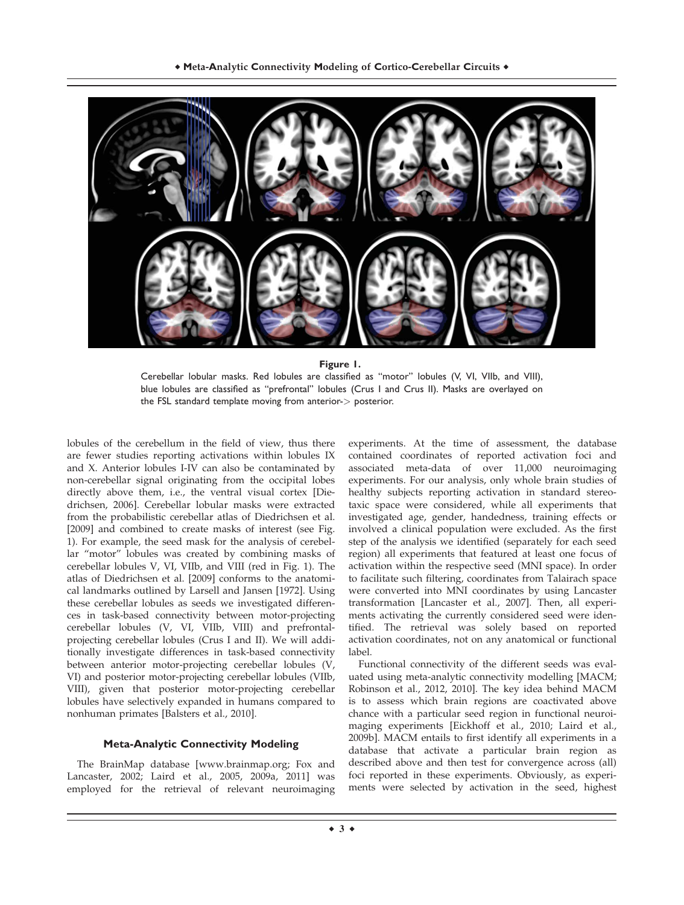

#### **Figure 1.**

Cerebellar lobular masks. Red lobules are classified as "motor" lobules (V, VI, VIIb, and VIII), blue lobules are classified as "prefrontal" lobules (Crus I and Crus II). Masks are overlayed on the FSL standard template moving from anterior-> posterior.

lobules of the cerebellum in the field of view, thus there are fewer studies reporting activations within lobules IX and X. Anterior lobules I-IV can also be contaminated by non-cerebellar signal originating from the occipital lobes directly above them, i.e., the ventral visual cortex [Diedrichsen, 2006]. Cerebellar lobular masks were extracted from the probabilistic cerebellar atlas of Diedrichsen et al. [2009] and combined to create masks of interest (see Fig. 1). For example, the seed mask for the analysis of cerebellar "motor" lobules was created by combining masks of cerebellar lobules V, VI, VIIb, and VIII (red in Fig. 1). The atlas of Diedrichsen et al. [2009] conforms to the anatomical landmarks outlined by Larsell and Jansen [1972]. Using these cerebellar lobules as seeds we investigated differences in task-based connectivity between motor-projecting cerebellar lobules (V, VI, VIIb, VIII) and prefrontalprojecting cerebellar lobules (Crus I and II). We will additionally investigate differences in task-based connectivity between anterior motor-projecting cerebellar lobules (V, VI) and posterior motor-projecting cerebellar lobules (VIIb, VIII), given that posterior motor-projecting cerebellar lobules have selectively expanded in humans compared to nonhuman primates [Balsters et al., 2010].

#### **Meta-Analytic Connectivity Modeling**

The BrainMap database [www.brainmap.org; Fox and Lancaster, 2002; Laird et al., 2005, 2009a, 2011] was employed for the retrieval of relevant neuroimaging experiments. At the time of assessment, the database contained coordinates of reported activation foci and associated meta-data of over 11,000 neuroimaging experiments. For our analysis, only whole brain studies of healthy subjects reporting activation in standard stereotaxic space were considered, while all experiments that investigated age, gender, handedness, training effects or involved a clinical population were excluded. As the first step of the analysis we identified (separately for each seed region) all experiments that featured at least one focus of activation within the respective seed (MNI space). In order to facilitate such filtering, coordinates from Talairach space were converted into MNI coordinates by using Lancaster transformation [Lancaster et al., 2007]. Then, all experiments activating the currently considered seed were identified. The retrieval was solely based on reported activation coordinates, not on any anatomical or functional label.

Functional connectivity of the different seeds was evaluated using meta-analytic connectivity modelling [MACM; Robinson et al., 2012, 2010]. The key idea behind MACM is to assess which brain regions are coactivated above chance with a particular seed region in functional neuroimaging experiments [Eickhoff et al., 2010; Laird et al., 2009b]. MACM entails to first identify all experiments in a database that activate a particular brain region as described above and then test for convergence across (all) foci reported in these experiments. Obviously, as experiments were selected by activation in the seed, highest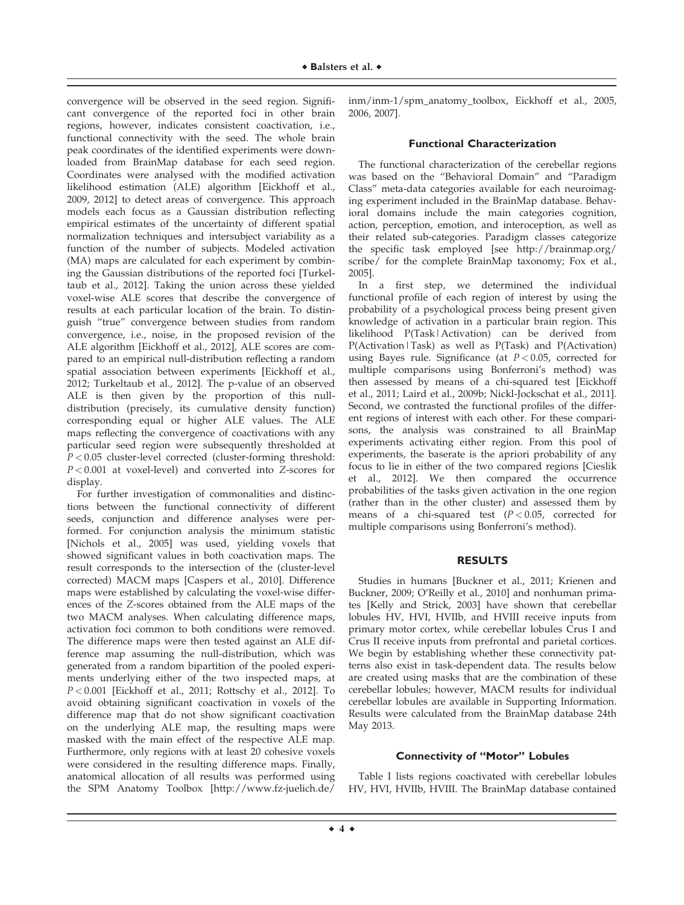convergence will be observed in the seed region. Significant convergence of the reported foci in other brain regions, however, indicates consistent coactivation, i.e., functional connectivity with the seed. The whole brain peak coordinates of the identified experiments were downloaded from BrainMap database for each seed region. Coordinates were analysed with the modified activation likelihood estimation (ALE) algorithm [Eickhoff et al., 2009, 2012] to detect areas of convergence. This approach models each focus as a Gaussian distribution reflecting empirical estimates of the uncertainty of different spatial normalization techniques and intersubject variability as a function of the number of subjects. Modeled activation (MA) maps are calculated for each experiment by combining the Gaussian distributions of the reported foci [Turkeltaub et al., 2012]. Taking the union across these yielded voxel-wise ALE scores that describe the convergence of results at each particular location of the brain. To distinguish "true" convergence between studies from random convergence, i.e., noise, in the proposed revision of the ALE algorithm [Eickhoff et al., 2012], ALE scores are compared to an empirical null-distribution reflecting a random spatial association between experiments [Eickhoff et al., 2012; Turkeltaub et al., 2012]. The p-value of an observed ALE is then given by the proportion of this nulldistribution (precisely, its cumulative density function) corresponding equal or higher ALE values. The ALE maps reflecting the convergence of coactivations with any particular seed region were subsequently thresholded at  $P < 0.05$  cluster-level corrected (cluster-forming threshold: P < 0.001 at voxel-level) and converted into Z-scores for display.

For further investigation of commonalities and distinctions between the functional connectivity of different seeds, conjunction and difference analyses were performed. For conjunction analysis the minimum statistic [Nichols et al., 2005] was used, yielding voxels that showed significant values in both coactivation maps. The result corresponds to the intersection of the (cluster-level corrected) MACM maps [Caspers et al., 2010]. Difference maps were established by calculating the voxel-wise differences of the Z-scores obtained from the ALE maps of the two MACM analyses. When calculating difference maps, activation foci common to both conditions were removed. The difference maps were then tested against an ALE difference map assuming the null-distribution, which was generated from a random bipartition of the pooled experiments underlying either of the two inspected maps, at P < 0.001 [Eickhoff et al., 2011; Rottschy et al., 2012]. To avoid obtaining significant coactivation in voxels of the difference map that do not show significant coactivation on the underlying ALE map, the resulting maps were masked with the main effect of the respective ALE map. Furthermore, only regions with at least 20 cohesive voxels were considered in the resulting difference maps. Finally, anatomical allocation of all results was performed using the SPM Anatomy Toolbox [\[http://www.fz-juelich.de/](http://www.fz-juelich.de/inm/inm-1/spm_anatomy_toolbox)

[inm/inm-1/spm\\_anatomy\\_toolbox,](http://www.fz-juelich.de/inm/inm-1/spm_anatomy_toolbox) Eickhoff et al., 2005, 2006, 2007].

#### **Functional Characterization**

The functional characterization of the cerebellar regions was based on the "Behavioral Domain" and "Paradigm Class" meta-data categories available for each neuroimaging experiment included in the BrainMap database. Behavioral domains include the main categories cognition, action, perception, emotion, and interoception, as well as their related sub-categories. Paradigm classes categorize the specific task employed [see [http://brainmap.org/](http://brainmap.org/scribe/) [scribe/](http://brainmap.org/scribe/) for the complete BrainMap taxonomy; Fox et al., 2005].

In a first step, we determined the individual functional profile of each region of interest by using the probability of a psychological process being present given knowledge of activation in a particular brain region. This likelihood P(Task|Activation) can be derived from P(Activation | Task) as well as P(Task) and P(Activation) using Bayes rule. Significance (at  $P < 0.05$ , corrected for multiple comparisons using Bonferroni's method) was then assessed by means of a chi-squared test [Eickhoff et al., 2011; Laird et al., 2009b; Nickl-Jockschat et al., 2011]. Second, we contrasted the functional profiles of the different regions of interest with each other. For these comparisons, the analysis was constrained to all BrainMap experiments activating either region. From this pool of experiments, the baserate is the apriori probability of any focus to lie in either of the two compared regions [Cieslik et al., 2012]. We then compared the occurrence probabilities of the tasks given activation in the one region (rather than in the other cluster) and assessed them by means of a chi-squared test  $(P < 0.05$ , corrected for multiple comparisons using Bonferroni's method).

#### **RESULTS**

Studies in humans [Buckner et al., 2011; Krienen and Buckner, 2009; O'Reilly et al., 2010] and nonhuman primates [Kelly and Strick, 2003] have shown that cerebellar lobules HV, HVI, HVIIb, and HVIII receive inputs from primary motor cortex, while cerebellar lobules Crus I and Crus II receive inputs from prefrontal and parietal cortices. We begin by establishing whether these connectivity patterns also exist in task-dependent data. The results below are created using masks that are the combination of these cerebellar lobules; however, MACM results for individual cerebellar lobules are available in Supporting Information. Results were calculated from the BrainMap database 24th May 2013.

#### **Connectivity of "Motor" Lobules**

Table I lists regions coactivated with cerebellar lobules HV, HVI, HVIIb, HVIII. The BrainMap database contained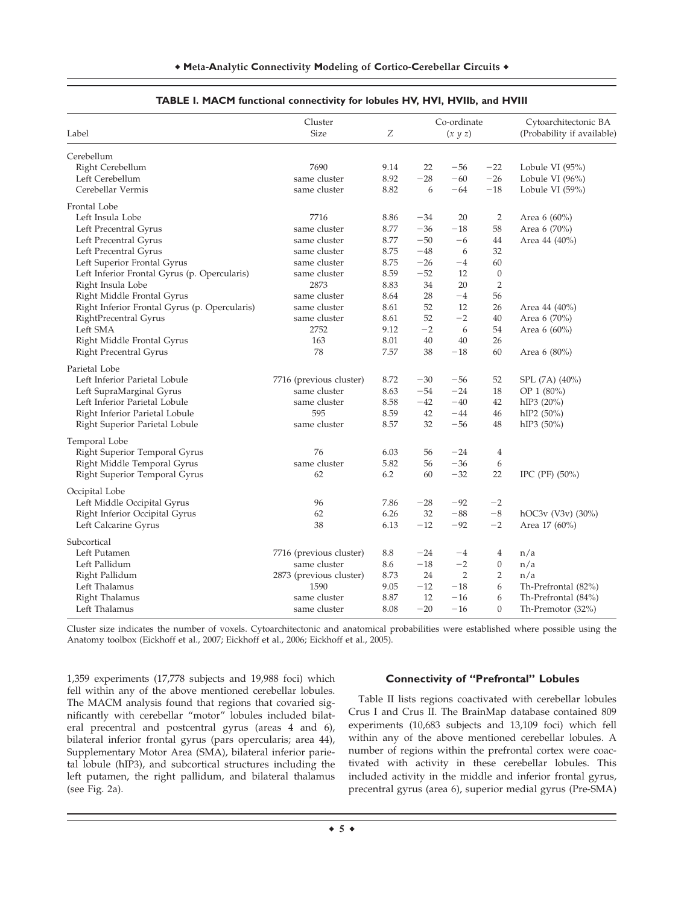| Label                                         | Cluster<br>Size         | Ζ    | Co-ordinate<br>$(x \vee z)$ |                |                | Cytoarchitectonic BA<br>(Probability if available) |
|-----------------------------------------------|-------------------------|------|-----------------------------|----------------|----------------|----------------------------------------------------|
| Cerebellum                                    |                         |      |                             |                |                |                                                    |
| Right Cerebellum                              | 7690                    | 9.14 | 22                          | $-56$          | $-22$          | Lobule VI (95%)                                    |
| Left Cerebellum                               | same cluster            | 8.92 | $-28$                       | $-60$          | $-26$          | Lobule VI (96%)                                    |
| Cerebellar Vermis                             | same cluster            | 8.82 | 6                           | $-64$          | $-18$          | Lobule VI (59%)                                    |
| Frontal Lobe                                  |                         |      |                             |                |                |                                                    |
| Left Insula Lobe                              | 7716                    | 8.86 | $-34$                       | 20             | $\overline{2}$ | Area $6(60\%)$                                     |
| Left Precentral Gyrus                         | same cluster            | 8.77 | $-36$                       | $-18$          | 58             | Area 6 (70%)                                       |
| Left Precentral Gyrus                         | same cluster            | 8.77 | $-50$                       | -6             | 44             | Area 44 (40%)                                      |
| Left Precentral Gyrus                         | same cluster            | 8.75 | $-48$                       | 6              | 32             |                                                    |
| Left Superior Frontal Gyrus                   | same cluster            | 8.75 | $-26$                       | $-4$           | 60             |                                                    |
| Left Inferior Frontal Gyrus (p. Opercularis)  | same cluster            | 8.59 | $-52$                       | 12             | $\theta$       |                                                    |
| Right Insula Lobe                             | 2873                    | 8.83 | 34                          | 20             | $\overline{2}$ |                                                    |
| Right Middle Frontal Gyrus                    | same cluster            | 8.64 | 28                          | $-4$           | 56             |                                                    |
| Right Inferior Frontal Gyrus (p. Opercularis) | same cluster            | 8.61 | 52                          | 12             | 26             | Area 44 (40%)                                      |
| RightPrecentral Gyrus                         | same cluster            | 8.61 | 52                          | $-2$           | 40             | Area 6 (70%)                                       |
| Left SMA                                      | 2752                    | 9.12 | $-2$                        | 6              | 54             | Area $6(60\%)$                                     |
| Right Middle Frontal Gyrus                    | 163                     | 8.01 | 40                          | 40             | 26             |                                                    |
| Right Precentral Gyrus                        | 78                      | 7.57 | 38                          | $-18$          | 60             | Area 6 (80%)                                       |
| Parietal Lobe                                 |                         |      |                             |                |                |                                                    |
| Left Inferior Parietal Lobule                 | 7716 (previous cluster) | 8.72 | $-30$                       | $-56$          | 52             | SPL (7A) (40%)                                     |
| Left SupraMarginal Gyrus                      | same cluster            | 8.63 | $-54$                       | $-24$          | 18             | OP 1 (80%)                                         |
| Left Inferior Parietal Lobule                 | same cluster            | 8.58 | $-42$                       | $-40$          | 42             | hIP3 (20%)                                         |
| Right Inferior Parietal Lobule                | 595                     | 8.59 | 42                          | $-44$          | 46             | hIP2(50%)                                          |
| Right Superior Parietal Lobule                | same cluster            | 8.57 | 32                          | $-56$          | 48             | $hIP3(50\%)$                                       |
| Temporal Lobe                                 |                         |      |                             |                |                |                                                    |
| Right Superior Temporal Gyrus                 | 76                      | 6.03 | 56                          | $-24$          | $\overline{4}$ |                                                    |
| Right Middle Temporal Gyrus                   | same cluster            | 5.82 | 56                          | $-36$          | 6              |                                                    |
| Right Superior Temporal Gyrus                 | 62                      | 6.2  | 60                          | $-32$          | 22             | IPC (PF) $(50\%)$                                  |
| Occipital Lobe                                |                         |      |                             |                |                |                                                    |
| Left Middle Occipital Gyrus                   | 96                      | 7.86 | $-28$                       | $-92$          | $-2$           |                                                    |
| Right Inferior Occipital Gyrus                | 62                      | 6.26 | 32                          | $-88$          | $-8$           | $hOC3v$ (V3v) (30%)                                |
| Left Calcarine Gyrus                          | 38                      | 6.13 | $-12$                       | $-92$          | $-2$           | Area 17 (60%)                                      |
| Subcortical                                   |                         |      |                             |                |                |                                                    |
| Left Putamen                                  | 7716 (previous cluster) | 8.8  | $-24$                       | $-4$           | $\overline{4}$ | n/a                                                |
| Left Pallidum                                 | same cluster            | 8.6  | $-18$                       | $-2$           | $\theta$       | n/a                                                |
| Right Pallidum                                | 2873 (previous cluster) | 8.73 | 24                          | $\overline{2}$ | 2              | n/a                                                |
| Left Thalamus                                 | 1590                    | 9.05 | $-12$                       | $-18$          | 6              | Th-Prefrontal (82%)                                |
| Right Thalamus                                | same cluster            | 8.87 | 12                          | $-16$          | 6              | Th-Prefrontal (84%)                                |
| Left Thalamus                                 | same cluster            | 8.08 | $-20$                       | $-16$          | $\overline{0}$ | Th-Premotor (32%)                                  |
|                                               |                         |      |                             |                |                |                                                    |

# **TABLE I. MACM functional connectivity for lobules HV, HVI, HVIIb, and HVIII**

Cluster size indicates the number of voxels. Cytoarchitectonic and anatomical probabilities were established where possible using the Anatomy toolbox (Eickhoff et al., 2007; Eickhoff et al., 2006; Eickhoff et al., 2005).

1,359 experiments (17,778 subjects and 19,988 foci) which fell within any of the above mentioned cerebellar lobules. The MACM analysis found that regions that covaried significantly with cerebellar "motor" lobules included bilateral precentral and postcentral gyrus (areas 4 and 6), bilateral inferior frontal gyrus (pars opercularis; area 44), Supplementary Motor Area (SMA), bilateral inferior parietal lobule (hIP3), and subcortical structures including the left putamen, the right pallidum, and bilateral thalamus (see Fig. 2a).

# **Connectivity of "Prefrontal" Lobules**

Table II lists regions coactivated with cerebellar lobules Crus I and Crus II. The BrainMap database contained 809 experiments (10,683 subjects and 13,109 foci) which fell within any of the above mentioned cerebellar lobules. A number of regions within the prefrontal cortex were coactivated with activity in these cerebellar lobules. This included activity in the middle and inferior frontal gyrus, precentral gyrus (area 6), superior medial gyrus (Pre-SMA)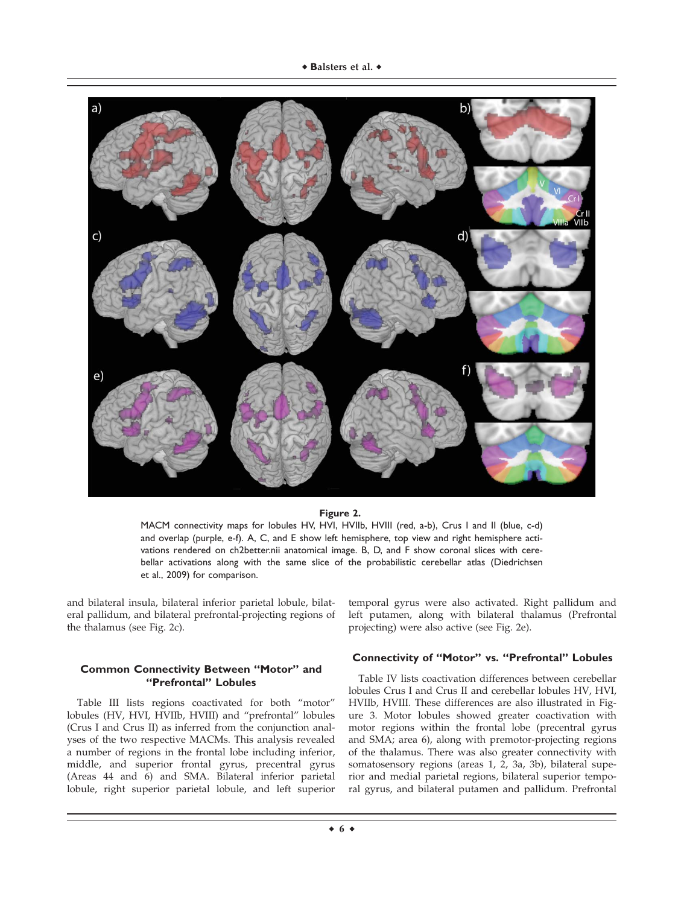

### **Figure 2.**

MACM connectivity maps for lobules HV, HVI, HVIIb, HVIII (red, a-b), Crus I and II (blue, c-d) and overlap (purple, e-f). A, C, and E show left hemisphere, top view and right hemisphere activations rendered on ch2better.nii anatomical image. B, D, and F show coronal slices with cerebellar activations along with the same slice of the probabilistic cerebellar atlas (Diedrichsen et al., 2009) for comparison.

and bilateral insula, bilateral inferior parietal lobule, bilateral pallidum, and bilateral prefrontal-projecting regions of the thalamus (see Fig. 2c).

# **Common Connectivity Between "Motor" and "Prefrontal" Lobules**

Table III lists regions coactivated for both "motor" lobules (HV, HVI, HVIIb, HVIII) and "prefrontal" lobules (Crus I and Crus II) as inferred from the conjunction analyses of the two respective MACMs. This analysis revealed a number of regions in the frontal lobe including inferior, middle, and superior frontal gyrus, precentral gyrus (Areas 44 and 6) and SMA. Bilateral inferior parietal lobule, right superior parietal lobule, and left superior

temporal gyrus were also activated. Right pallidum and left putamen, along with bilateral thalamus (Prefrontal projecting) were also active (see Fig. 2e).

## **Connectivity of "Motor" vs. "Prefrontal" Lobules**

Table IV lists coactivation differences between cerebellar lobules Crus I and Crus II and cerebellar lobules HV, HVI, HVIIb, HVIII. These differences are also illustrated in Figure 3. Motor lobules showed greater coactivation with motor regions within the frontal lobe (precentral gyrus and SMA; area 6), along with premotor-projecting regions of the thalamus. There was also greater connectivity with somatosensory regions (areas 1, 2, 3a, 3b), bilateral superior and medial parietal regions, bilateral superior temporal gyrus, and bilateral putamen and pallidum. Prefrontal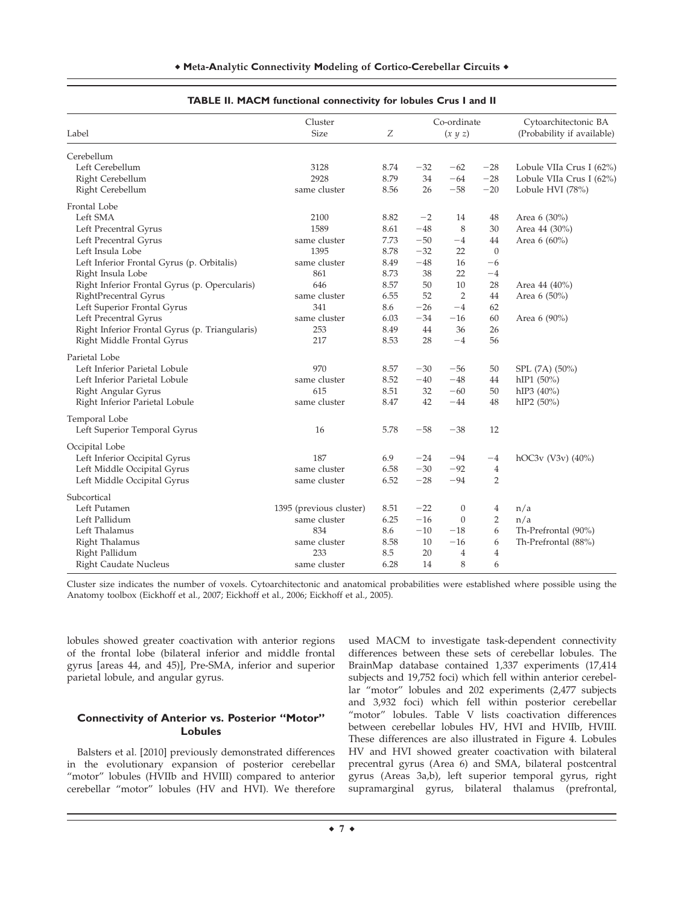| <b>Size</b><br>Ζ<br>Left Cerebellum<br>3128<br>8.74<br>$-32$<br>$-62$<br>$-28$<br>Lobule VIIa Crus I (62%)<br>2928<br>8.79<br>$-64$<br>$-28$<br>Lobule VIIa Crus I (62%)<br>Right Cerebellum<br>34<br>$-58$<br>Right Cerebellum<br>8.56<br>$-20$<br>Lobule HVI (78%)<br>same cluster<br>26<br>Left SMA<br>2100<br>8.82<br>$-2$<br>48<br>14<br>Area 6 (30%)<br>1589<br>8<br>8.61<br>$-48$<br>30<br>Area 44 (30%)<br>Left Precentral Gyrus<br>7.73<br>44<br>Left Precentral Gyrus<br>same cluster<br>$-50$<br>$-4$<br>Area $6(60\%)$<br>1395<br>Left Insula Lobe<br>8.78<br>$-32$<br>22<br>$\theta$<br>8.49<br>$-48$<br>16<br>Left Inferior Frontal Gyrus (p. Orbitalis)<br>same cluster<br>$-6$<br>8.73<br>22<br>861<br>38<br>$-4$<br>Right Insula Lobe<br>Right Inferior Frontal Gyrus (p. Opercularis)<br>646<br>8.57<br>50<br>10<br>28<br>Area 44 (40%)<br>RightPrecentral Gyrus<br>same cluster<br>6.55<br>52<br>$\overline{2}$<br>44<br>Area $6(50\%)$<br>Left Superior Frontal Gyrus<br>341<br>$-4$<br>62<br>8.6<br>$-26$<br>Left Precentral Gyrus<br>6.03<br>60<br>same cluster<br>$-34$<br>$-16$<br>Area 6 (90%)<br>253<br>36<br>Right Inferior Frontal Gyrus (p. Triangularis)<br>8.49<br>44<br>26<br>217<br>28<br>$-4$<br>56<br>Right Middle Frontal Gyrus<br>8.53<br>Left Inferior Parietal Lobule<br>970<br>8.57<br>$-56$<br>SPL (7A) (50%)<br>$-30$<br>50<br>8.52<br>Left Inferior Parietal Lobule<br>same cluster<br>$-40$<br>$-48$<br>$hIP1(50\%)$<br>44<br>615<br>8.51<br>32<br>$-60$<br>50<br>hIP3(40%)<br>Right Angular Gyrus<br>48<br>hIP2(50%)<br>Right Inferior Parietal Lobule<br>same cluster<br>8.47<br>42<br>$-44$<br>Temporal Lobe<br>16<br>5.78<br>Left Superior Temporal Gyrus<br>$-38$<br>12<br>$-58$<br>Occipital Lobe<br>187<br>Left Inferior Occipital Gyrus<br>6.9<br>$-94$<br>$-24$<br>$hOC3v$ (V3v) (40%)<br>$^{-4}$<br>Left Middle Occipital Gyrus<br>same cluster<br>6.58<br>$-92$<br>$-30$<br>4<br>6.52<br>$-94$<br>$\overline{2}$<br>Left Middle Occipital Gyrus<br>$-28$<br>same cluster<br>Subcortical<br>Left Putamen<br>1395 (previous cluster)<br>n/a<br>8.51<br>$-22$<br>$\mathbf{0}$<br>4<br>Left Pallidum<br>same cluster<br>6.25<br>$-16$<br>$\overline{2}$<br>$\theta$<br>n/a<br>Left Thalamus<br>834<br>8.6<br>$-18$<br>6<br>Th-Prefrontal (90%)<br>$-10$<br>Right Thalamus<br>same cluster<br>8.58<br>$-16$<br>10<br>6<br>Th-Prefrontal (88%)<br>Right Pallidum<br>233<br>8.5<br>20<br>4<br>4<br>8<br>6.28<br>14<br>6<br>same cluster |                              | Cluster |         | Co-ordinate |  | Cytoarchitectonic BA       |  |
|-----------------------------------------------------------------------------------------------------------------------------------------------------------------------------------------------------------------------------------------------------------------------------------------------------------------------------------------------------------------------------------------------------------------------------------------------------------------------------------------------------------------------------------------------------------------------------------------------------------------------------------------------------------------------------------------------------------------------------------------------------------------------------------------------------------------------------------------------------------------------------------------------------------------------------------------------------------------------------------------------------------------------------------------------------------------------------------------------------------------------------------------------------------------------------------------------------------------------------------------------------------------------------------------------------------------------------------------------------------------------------------------------------------------------------------------------------------------------------------------------------------------------------------------------------------------------------------------------------------------------------------------------------------------------------------------------------------------------------------------------------------------------------------------------------------------------------------------------------------------------------------------------------------------------------------------------------------------------------------------------------------------------------------------------------------------------------------------------------------------------------------------------------------------------------------------------------------------------------------------------------------------------------------------------------------------------------------------------------------------------------------------------------------------------------------------------------------------------------------------|------------------------------|---------|---------|-------------|--|----------------------------|--|
|                                                                                                                                                                                                                                                                                                                                                                                                                                                                                                                                                                                                                                                                                                                                                                                                                                                                                                                                                                                                                                                                                                                                                                                                                                                                                                                                                                                                                                                                                                                                                                                                                                                                                                                                                                                                                                                                                                                                                                                                                                                                                                                                                                                                                                                                                                                                                                                                                                                                                         | Label                        |         | (x y z) |             |  | (Probability if available) |  |
|                                                                                                                                                                                                                                                                                                                                                                                                                                                                                                                                                                                                                                                                                                                                                                                                                                                                                                                                                                                                                                                                                                                                                                                                                                                                                                                                                                                                                                                                                                                                                                                                                                                                                                                                                                                                                                                                                                                                                                                                                                                                                                                                                                                                                                                                                                                                                                                                                                                                                         | Cerebellum                   |         |         |             |  |                            |  |
|                                                                                                                                                                                                                                                                                                                                                                                                                                                                                                                                                                                                                                                                                                                                                                                                                                                                                                                                                                                                                                                                                                                                                                                                                                                                                                                                                                                                                                                                                                                                                                                                                                                                                                                                                                                                                                                                                                                                                                                                                                                                                                                                                                                                                                                                                                                                                                                                                                                                                         |                              |         |         |             |  |                            |  |
|                                                                                                                                                                                                                                                                                                                                                                                                                                                                                                                                                                                                                                                                                                                                                                                                                                                                                                                                                                                                                                                                                                                                                                                                                                                                                                                                                                                                                                                                                                                                                                                                                                                                                                                                                                                                                                                                                                                                                                                                                                                                                                                                                                                                                                                                                                                                                                                                                                                                                         |                              |         |         |             |  |                            |  |
|                                                                                                                                                                                                                                                                                                                                                                                                                                                                                                                                                                                                                                                                                                                                                                                                                                                                                                                                                                                                                                                                                                                                                                                                                                                                                                                                                                                                                                                                                                                                                                                                                                                                                                                                                                                                                                                                                                                                                                                                                                                                                                                                                                                                                                                                                                                                                                                                                                                                                         |                              |         |         |             |  |                            |  |
|                                                                                                                                                                                                                                                                                                                                                                                                                                                                                                                                                                                                                                                                                                                                                                                                                                                                                                                                                                                                                                                                                                                                                                                                                                                                                                                                                                                                                                                                                                                                                                                                                                                                                                                                                                                                                                                                                                                                                                                                                                                                                                                                                                                                                                                                                                                                                                                                                                                                                         | Frontal Lobe                 |         |         |             |  |                            |  |
|                                                                                                                                                                                                                                                                                                                                                                                                                                                                                                                                                                                                                                                                                                                                                                                                                                                                                                                                                                                                                                                                                                                                                                                                                                                                                                                                                                                                                                                                                                                                                                                                                                                                                                                                                                                                                                                                                                                                                                                                                                                                                                                                                                                                                                                                                                                                                                                                                                                                                         |                              |         |         |             |  |                            |  |
|                                                                                                                                                                                                                                                                                                                                                                                                                                                                                                                                                                                                                                                                                                                                                                                                                                                                                                                                                                                                                                                                                                                                                                                                                                                                                                                                                                                                                                                                                                                                                                                                                                                                                                                                                                                                                                                                                                                                                                                                                                                                                                                                                                                                                                                                                                                                                                                                                                                                                         |                              |         |         |             |  |                            |  |
|                                                                                                                                                                                                                                                                                                                                                                                                                                                                                                                                                                                                                                                                                                                                                                                                                                                                                                                                                                                                                                                                                                                                                                                                                                                                                                                                                                                                                                                                                                                                                                                                                                                                                                                                                                                                                                                                                                                                                                                                                                                                                                                                                                                                                                                                                                                                                                                                                                                                                         |                              |         |         |             |  |                            |  |
|                                                                                                                                                                                                                                                                                                                                                                                                                                                                                                                                                                                                                                                                                                                                                                                                                                                                                                                                                                                                                                                                                                                                                                                                                                                                                                                                                                                                                                                                                                                                                                                                                                                                                                                                                                                                                                                                                                                                                                                                                                                                                                                                                                                                                                                                                                                                                                                                                                                                                         |                              |         |         |             |  |                            |  |
|                                                                                                                                                                                                                                                                                                                                                                                                                                                                                                                                                                                                                                                                                                                                                                                                                                                                                                                                                                                                                                                                                                                                                                                                                                                                                                                                                                                                                                                                                                                                                                                                                                                                                                                                                                                                                                                                                                                                                                                                                                                                                                                                                                                                                                                                                                                                                                                                                                                                                         |                              |         |         |             |  |                            |  |
|                                                                                                                                                                                                                                                                                                                                                                                                                                                                                                                                                                                                                                                                                                                                                                                                                                                                                                                                                                                                                                                                                                                                                                                                                                                                                                                                                                                                                                                                                                                                                                                                                                                                                                                                                                                                                                                                                                                                                                                                                                                                                                                                                                                                                                                                                                                                                                                                                                                                                         |                              |         |         |             |  |                            |  |
|                                                                                                                                                                                                                                                                                                                                                                                                                                                                                                                                                                                                                                                                                                                                                                                                                                                                                                                                                                                                                                                                                                                                                                                                                                                                                                                                                                                                                                                                                                                                                                                                                                                                                                                                                                                                                                                                                                                                                                                                                                                                                                                                                                                                                                                                                                                                                                                                                                                                                         |                              |         |         |             |  |                            |  |
|                                                                                                                                                                                                                                                                                                                                                                                                                                                                                                                                                                                                                                                                                                                                                                                                                                                                                                                                                                                                                                                                                                                                                                                                                                                                                                                                                                                                                                                                                                                                                                                                                                                                                                                                                                                                                                                                                                                                                                                                                                                                                                                                                                                                                                                                                                                                                                                                                                                                                         |                              |         |         |             |  |                            |  |
|                                                                                                                                                                                                                                                                                                                                                                                                                                                                                                                                                                                                                                                                                                                                                                                                                                                                                                                                                                                                                                                                                                                                                                                                                                                                                                                                                                                                                                                                                                                                                                                                                                                                                                                                                                                                                                                                                                                                                                                                                                                                                                                                                                                                                                                                                                                                                                                                                                                                                         |                              |         |         |             |  |                            |  |
|                                                                                                                                                                                                                                                                                                                                                                                                                                                                                                                                                                                                                                                                                                                                                                                                                                                                                                                                                                                                                                                                                                                                                                                                                                                                                                                                                                                                                                                                                                                                                                                                                                                                                                                                                                                                                                                                                                                                                                                                                                                                                                                                                                                                                                                                                                                                                                                                                                                                                         |                              |         |         |             |  |                            |  |
|                                                                                                                                                                                                                                                                                                                                                                                                                                                                                                                                                                                                                                                                                                                                                                                                                                                                                                                                                                                                                                                                                                                                                                                                                                                                                                                                                                                                                                                                                                                                                                                                                                                                                                                                                                                                                                                                                                                                                                                                                                                                                                                                                                                                                                                                                                                                                                                                                                                                                         |                              |         |         |             |  |                            |  |
|                                                                                                                                                                                                                                                                                                                                                                                                                                                                                                                                                                                                                                                                                                                                                                                                                                                                                                                                                                                                                                                                                                                                                                                                                                                                                                                                                                                                                                                                                                                                                                                                                                                                                                                                                                                                                                                                                                                                                                                                                                                                                                                                                                                                                                                                                                                                                                                                                                                                                         |                              |         |         |             |  |                            |  |
|                                                                                                                                                                                                                                                                                                                                                                                                                                                                                                                                                                                                                                                                                                                                                                                                                                                                                                                                                                                                                                                                                                                                                                                                                                                                                                                                                                                                                                                                                                                                                                                                                                                                                                                                                                                                                                                                                                                                                                                                                                                                                                                                                                                                                                                                                                                                                                                                                                                                                         | Parietal Lobe                |         |         |             |  |                            |  |
|                                                                                                                                                                                                                                                                                                                                                                                                                                                                                                                                                                                                                                                                                                                                                                                                                                                                                                                                                                                                                                                                                                                                                                                                                                                                                                                                                                                                                                                                                                                                                                                                                                                                                                                                                                                                                                                                                                                                                                                                                                                                                                                                                                                                                                                                                                                                                                                                                                                                                         |                              |         |         |             |  |                            |  |
|                                                                                                                                                                                                                                                                                                                                                                                                                                                                                                                                                                                                                                                                                                                                                                                                                                                                                                                                                                                                                                                                                                                                                                                                                                                                                                                                                                                                                                                                                                                                                                                                                                                                                                                                                                                                                                                                                                                                                                                                                                                                                                                                                                                                                                                                                                                                                                                                                                                                                         |                              |         |         |             |  |                            |  |
|                                                                                                                                                                                                                                                                                                                                                                                                                                                                                                                                                                                                                                                                                                                                                                                                                                                                                                                                                                                                                                                                                                                                                                                                                                                                                                                                                                                                                                                                                                                                                                                                                                                                                                                                                                                                                                                                                                                                                                                                                                                                                                                                                                                                                                                                                                                                                                                                                                                                                         |                              |         |         |             |  |                            |  |
|                                                                                                                                                                                                                                                                                                                                                                                                                                                                                                                                                                                                                                                                                                                                                                                                                                                                                                                                                                                                                                                                                                                                                                                                                                                                                                                                                                                                                                                                                                                                                                                                                                                                                                                                                                                                                                                                                                                                                                                                                                                                                                                                                                                                                                                                                                                                                                                                                                                                                         |                              |         |         |             |  |                            |  |
|                                                                                                                                                                                                                                                                                                                                                                                                                                                                                                                                                                                                                                                                                                                                                                                                                                                                                                                                                                                                                                                                                                                                                                                                                                                                                                                                                                                                                                                                                                                                                                                                                                                                                                                                                                                                                                                                                                                                                                                                                                                                                                                                                                                                                                                                                                                                                                                                                                                                                         |                              |         |         |             |  |                            |  |
|                                                                                                                                                                                                                                                                                                                                                                                                                                                                                                                                                                                                                                                                                                                                                                                                                                                                                                                                                                                                                                                                                                                                                                                                                                                                                                                                                                                                                                                                                                                                                                                                                                                                                                                                                                                                                                                                                                                                                                                                                                                                                                                                                                                                                                                                                                                                                                                                                                                                                         |                              |         |         |             |  |                            |  |
|                                                                                                                                                                                                                                                                                                                                                                                                                                                                                                                                                                                                                                                                                                                                                                                                                                                                                                                                                                                                                                                                                                                                                                                                                                                                                                                                                                                                                                                                                                                                                                                                                                                                                                                                                                                                                                                                                                                                                                                                                                                                                                                                                                                                                                                                                                                                                                                                                                                                                         |                              |         |         |             |  |                            |  |
|                                                                                                                                                                                                                                                                                                                                                                                                                                                                                                                                                                                                                                                                                                                                                                                                                                                                                                                                                                                                                                                                                                                                                                                                                                                                                                                                                                                                                                                                                                                                                                                                                                                                                                                                                                                                                                                                                                                                                                                                                                                                                                                                                                                                                                                                                                                                                                                                                                                                                         |                              |         |         |             |  |                            |  |
|                                                                                                                                                                                                                                                                                                                                                                                                                                                                                                                                                                                                                                                                                                                                                                                                                                                                                                                                                                                                                                                                                                                                                                                                                                                                                                                                                                                                                                                                                                                                                                                                                                                                                                                                                                                                                                                                                                                                                                                                                                                                                                                                                                                                                                                                                                                                                                                                                                                                                         |                              |         |         |             |  |                            |  |
|                                                                                                                                                                                                                                                                                                                                                                                                                                                                                                                                                                                                                                                                                                                                                                                                                                                                                                                                                                                                                                                                                                                                                                                                                                                                                                                                                                                                                                                                                                                                                                                                                                                                                                                                                                                                                                                                                                                                                                                                                                                                                                                                                                                                                                                                                                                                                                                                                                                                                         |                              |         |         |             |  |                            |  |
|                                                                                                                                                                                                                                                                                                                                                                                                                                                                                                                                                                                                                                                                                                                                                                                                                                                                                                                                                                                                                                                                                                                                                                                                                                                                                                                                                                                                                                                                                                                                                                                                                                                                                                                                                                                                                                                                                                                                                                                                                                                                                                                                                                                                                                                                                                                                                                                                                                                                                         |                              |         |         |             |  |                            |  |
|                                                                                                                                                                                                                                                                                                                                                                                                                                                                                                                                                                                                                                                                                                                                                                                                                                                                                                                                                                                                                                                                                                                                                                                                                                                                                                                                                                                                                                                                                                                                                                                                                                                                                                                                                                                                                                                                                                                                                                                                                                                                                                                                                                                                                                                                                                                                                                                                                                                                                         |                              |         |         |             |  |                            |  |
|                                                                                                                                                                                                                                                                                                                                                                                                                                                                                                                                                                                                                                                                                                                                                                                                                                                                                                                                                                                                                                                                                                                                                                                                                                                                                                                                                                                                                                                                                                                                                                                                                                                                                                                                                                                                                                                                                                                                                                                                                                                                                                                                                                                                                                                                                                                                                                                                                                                                                         |                              |         |         |             |  |                            |  |
|                                                                                                                                                                                                                                                                                                                                                                                                                                                                                                                                                                                                                                                                                                                                                                                                                                                                                                                                                                                                                                                                                                                                                                                                                                                                                                                                                                                                                                                                                                                                                                                                                                                                                                                                                                                                                                                                                                                                                                                                                                                                                                                                                                                                                                                                                                                                                                                                                                                                                         |                              |         |         |             |  |                            |  |
|                                                                                                                                                                                                                                                                                                                                                                                                                                                                                                                                                                                                                                                                                                                                                                                                                                                                                                                                                                                                                                                                                                                                                                                                                                                                                                                                                                                                                                                                                                                                                                                                                                                                                                                                                                                                                                                                                                                                                                                                                                                                                                                                                                                                                                                                                                                                                                                                                                                                                         |                              |         |         |             |  |                            |  |
|                                                                                                                                                                                                                                                                                                                                                                                                                                                                                                                                                                                                                                                                                                                                                                                                                                                                                                                                                                                                                                                                                                                                                                                                                                                                                                                                                                                                                                                                                                                                                                                                                                                                                                                                                                                                                                                                                                                                                                                                                                                                                                                                                                                                                                                                                                                                                                                                                                                                                         |                              |         |         |             |  |                            |  |
|                                                                                                                                                                                                                                                                                                                                                                                                                                                                                                                                                                                                                                                                                                                                                                                                                                                                                                                                                                                                                                                                                                                                                                                                                                                                                                                                                                                                                                                                                                                                                                                                                                                                                                                                                                                                                                                                                                                                                                                                                                                                                                                                                                                                                                                                                                                                                                                                                                                                                         | <b>Right Caudate Nucleus</b> |         |         |             |  |                            |  |

## **TABLE II. MACM functional connectivity for lobules Crus I and II**

Cluster size indicates the number of voxels. Cytoarchitectonic and anatomical probabilities were established where possible using the Anatomy toolbox (Eickhoff et al., 2007; Eickhoff et al., 2006; Eickhoff et al., 2005).

lobules showed greater coactivation with anterior regions of the frontal lobe (bilateral inferior and middle frontal gyrus [areas 44, and 45)], Pre-SMA, inferior and superior parietal lobule, and angular gyrus.

## **Connectivity of Anterior vs. Posterior "Motor" Lobules**

Balsters et al. [2010] previously demonstrated differences in the evolutionary expansion of posterior cerebellar "motor" lobules (HVIIb and HVIII) compared to anterior cerebellar "motor" lobules (HV and HVI). We therefore used MACM to investigate task-dependent connectivity differences between these sets of cerebellar lobules. The BrainMap database contained 1,337 experiments (17,414 subjects and 19,752 foci) which fell within anterior cerebellar "motor" lobules and 202 experiments (2,477 subjects and 3,932 foci) which fell within posterior cerebellar "motor" lobules. Table V lists coactivation differences between cerebellar lobules HV, HVI and HVIIb, HVIII. These differences are also illustrated in Figure 4. Lobules HV and HVI showed greater coactivation with bilateral precentral gyrus (Area 6) and SMA, bilateral postcentral gyrus (Areas 3a,b), left superior temporal gyrus, right supramarginal gyrus, bilateral thalamus (prefrontal,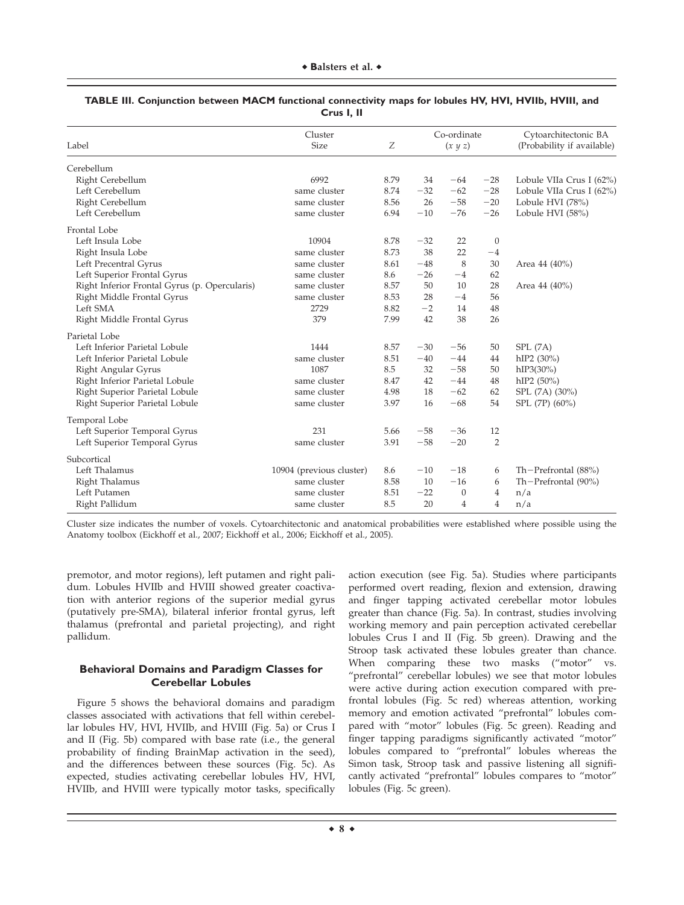| Label                                         | Cluster<br><b>Size</b>   | Ζ    |       | Co-ordinate<br>$(x \vee z)$ |                  | Cytoarchitectonic BA<br>(Probability if available) |
|-----------------------------------------------|--------------------------|------|-------|-----------------------------|------------------|----------------------------------------------------|
|                                               |                          |      |       |                             |                  |                                                    |
| Cerebellum<br>Right Cerebellum                | 6992                     | 8.79 | 34    | $-64$                       | $-28$            | Lobule VIIa Crus I (62%)                           |
| Left Cerebellum                               | same cluster             | 8.74 | $-32$ | $-62$                       | $-28$            |                                                    |
| Right Cerebellum                              | same cluster             | 8.56 | 26    | $-58$                       | $-20$            | Lobule VIIa Crus I (62%)<br>Lobule HVI (78%)       |
| Left Cerebellum                               | same cluster             | 6.94 | $-10$ | $-76$                       | $-26$            | Lobule HVI (58%)                                   |
|                                               |                          |      |       |                             |                  |                                                    |
| Frontal Lobe                                  |                          |      |       |                             |                  |                                                    |
| Left Insula Lobe                              | 10904                    | 8.78 | $-32$ | 22                          | $\boldsymbol{0}$ |                                                    |
| Right Insula Lobe                             | same cluster             | 8.73 | 38    | 22                          | $-4$             |                                                    |
| Left Precentral Gyrus                         | same cluster             | 8.61 | $-48$ | 8                           | 30               | Area 44 (40%)                                      |
| Left Superior Frontal Gyrus                   | same cluster             | 8.6  | $-26$ | $-4$                        | 62               |                                                    |
| Right Inferior Frontal Gyrus (p. Opercularis) | same cluster             | 8.57 | 50    | 10                          | 28               | Area 44 (40%)                                      |
| Right Middle Frontal Gyrus                    | same cluster             | 8.53 | 28    | $-4$                        | 56               |                                                    |
| Left SMA                                      | 2729                     | 8.82 | $-2$  | 14                          | 48               |                                                    |
| Right Middle Frontal Gyrus                    | 379                      | 7.99 | 42    | 38                          | 26               |                                                    |
| Parietal Lobe                                 |                          |      |       |                             |                  |                                                    |
| Left Inferior Parietal Lobule                 | 1444                     | 8.57 | $-30$ | $-56$                       | 50               | SPL(7A)                                            |
| Left Inferior Parietal Lobule                 | same cluster             | 8.51 | $-40$ | $-44$                       | 44               | hIP2(30%)                                          |
| Right Angular Gyrus                           | 1087                     | 8.5  | 32    | $-58$                       | 50               | $hIP3(30\%)$                                       |
| Right Inferior Parietal Lobule                | same cluster             | 8.47 | 42    | $-44$                       | 48               | hIP2(50%)                                          |
| Right Superior Parietal Lobule                | same cluster             | 4.98 | 18    | $-62$                       | 62               | SPL (7A) (30%)                                     |
| Right Superior Parietal Lobule                | same cluster             | 3.97 | 16    | $-68$                       | 54               | SPL (7P) (60%)                                     |
|                                               |                          |      |       |                             |                  |                                                    |
| Temporal Lobe                                 |                          |      |       |                             |                  |                                                    |
| Left Superior Temporal Gyrus                  | 231                      | 5.66 | $-58$ | $-36$                       | 12               |                                                    |
| Left Superior Temporal Gyrus                  | same cluster             | 3.91 | $-58$ | $-20$                       | $\overline{2}$   |                                                    |
| Subcortical                                   |                          |      |       |                             |                  |                                                    |
| Left Thalamus                                 | 10904 (previous cluster) | 8.6  | $-10$ | $-18$                       | 6                | Th-Prefrontal (88%)                                |
| <b>Right Thalamus</b>                         | same cluster             | 8.58 | 10    | $-16$                       | 6                | Th-Prefrontal (90%)                                |
| Left Putamen                                  | same cluster             | 8.51 | $-22$ | $\mathbf{0}$                | 4                | n/a                                                |
| Right Pallidum                                | same cluster             | 8.5  | 20    | 4                           | 4                | n/a                                                |

## **TABLE III. Conjunction between MACM functional connectivity maps for lobules HV, HVI, HVIIb, HVIII, and Crus I, II**

Cluster size indicates the number of voxels. Cytoarchitectonic and anatomical probabilities were established where possible using the Anatomy toolbox (Eickhoff et al., 2007; Eickhoff et al., 2006; Eickhoff et al., 2005).

premotor, and motor regions), left putamen and right palidum. Lobules HVIIb and HVIII showed greater coactivation with anterior regions of the superior medial gyrus (putatively pre-SMA), bilateral inferior frontal gyrus, left thalamus (prefrontal and parietal projecting), and right pallidum.

# **Behavioral Domains and Paradigm Classes for Cerebellar Lobules**

Figure 5 shows the behavioral domains and paradigm classes associated with activations that fell within cerebellar lobules HV, HVI, HVIIb, and HVIII (Fig. 5a) or Crus I and II (Fig. 5b) compared with base rate (i.e., the general probability of finding BrainMap activation in the seed), and the differences between these sources (Fig. 5c). As expected, studies activating cerebellar lobules HV, HVI, HVIIb, and HVIII were typically motor tasks, specifically action execution (see Fig. 5a). Studies where participants performed overt reading, flexion and extension, drawing and finger tapping activated cerebellar motor lobules greater than chance (Fig. 5a). In contrast, studies involving working memory and pain perception activated cerebellar lobules Crus I and II (Fig. 5b green). Drawing and the Stroop task activated these lobules greater than chance. When comparing these two masks ("motor" vs. "prefrontal" cerebellar lobules) we see that motor lobules were active during action execution compared with prefrontal lobules (Fig. 5c red) whereas attention, working memory and emotion activated "prefrontal" lobules compared with "motor" lobules (Fig. 5c green). Reading and finger tapping paradigms significantly activated "motor" lobules compared to "prefrontal" lobules whereas the Simon task, Stroop task and passive listening all significantly activated "prefrontal" lobules compares to "motor" lobules (Fig. 5c green).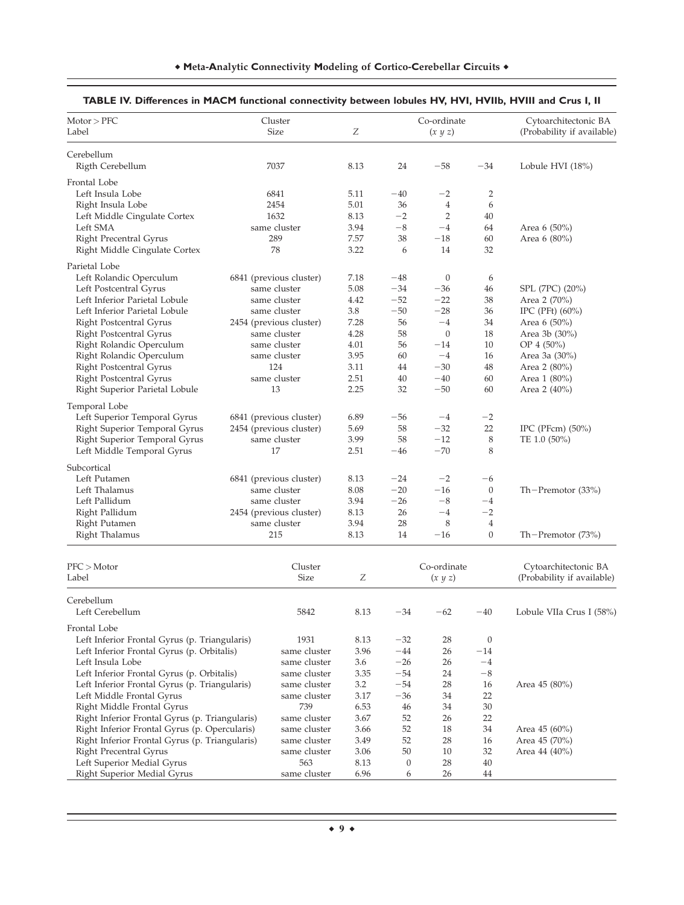| ◆ Meta-Analytic Connectivity Modeling of Cortico-Cerebellar Circuits ◆ |  |  |  |
|------------------------------------------------------------------------|--|--|--|
|------------------------------------------------------------------------|--|--|--|

| Motor > PFC<br>Label                                           |  | Cluster<br><b>Size</b>  | Ζ            |                  | Co-ordinate<br>(x y z) |                  | Cytoarchitectonic BA<br>(Probability if available) |
|----------------------------------------------------------------|--|-------------------------|--------------|------------------|------------------------|------------------|----------------------------------------------------|
| Cerebellum                                                     |  |                         |              |                  |                        |                  |                                                    |
| Rigth Cerebellum                                               |  | 7037                    | 8.13         | 24               | $-58$                  | $-34$            | Lobule HVI (18%)                                   |
| Frontal Lobe                                                   |  |                         |              |                  |                        |                  |                                                    |
| Left Insula Lobe                                               |  | 6841                    | 5.11         | $-40$            | $^{-2}$                | $\overline{2}$   |                                                    |
| Right Insula Lobe                                              |  | 2454                    | 5.01         | 36               | $\overline{4}$         | 6                |                                                    |
| Left Middle Cingulate Cortex                                   |  | 1632                    | 8.13         | $-2$<br>$-8$     | $\overline{2}$<br>$-4$ | 40               |                                                    |
| Left SMA                                                       |  | same cluster            | 3.94         |                  |                        | 64               | Area 6 (50%)                                       |
| <b>Right Precentral Gyrus</b><br>Right Middle Cingulate Cortex |  | 289<br>78               | 7.57<br>3.22 | 38<br>6          | $-18$<br>14            | 60<br>32         | Area 6 (80%)                                       |
| Parietal Lobe                                                  |  |                         |              |                  |                        |                  |                                                    |
| Left Rolandic Operculum                                        |  | 6841 (previous cluster) | 7.18         | $-48$            | $\mathbf{0}$           | 6                |                                                    |
| Left Postcentral Gyrus                                         |  | same cluster            | 5.08         | $-34$            | $-36$                  | 46               | SPL (7PC) (20%)                                    |
| Left Inferior Parietal Lobule                                  |  | same cluster            | 4.42         | $-52$            | $-22$                  | 38               | Area 2 (70%)                                       |
| Left Inferior Parietal Lobule                                  |  | same cluster            | 3.8          | $-50$            | $-28$                  | 36               | IPC (PFt) $(60\%)$                                 |
| Right Postcentral Gyrus                                        |  | 2454 (previous cluster) | 7.28         | 56               | $-4$                   | 34               | Area 6 (50%)                                       |
| <b>Right Postcentral Gyrus</b>                                 |  | same cluster            | 4.28         | 58               | $\boldsymbol{0}$       | 18               | Area 3b (30%)                                      |
| Right Rolandic Operculum                                       |  | same cluster            | 4.01         | 56               | $-14$                  | 10               | OP 4 (50%)                                         |
| Right Rolandic Operculum                                       |  | same cluster            | 3.95         | 60               | $-4$                   | 16               | Area 3a (30%)                                      |
| Right Postcentral Gyrus                                        |  | 124                     | 3.11         | 44               | $-30$                  | 48               | Area 2 (80%)                                       |
| Right Postcentral Gyrus                                        |  | same cluster            | 2.51         | 40               | $-40$                  | 60               | Area 1 (80%)                                       |
| Right Superior Parietal Lobule                                 |  | 13                      | 2.25         | 32               | $-50$                  | 60               | Area 2 $(40\%)$                                    |
| Temporal Lobe                                                  |  |                         |              |                  |                        |                  |                                                    |
| Left Superior Temporal Gyrus                                   |  | 6841 (previous cluster) | 6.89         | $-56$            | $-4$                   | $-2$             |                                                    |
| Right Superior Temporal Gyrus                                  |  | 2454 (previous cluster) | 5.69         | 58               | $-32$                  | 22               | IPC (PFcm) $(50\%)$                                |
| Right Superior Temporal Gyrus                                  |  | same cluster            | 3.99         | 58               | $-12$                  | 8                | TE 1.0 (50%)                                       |
| Left Middle Temporal Gyrus                                     |  | 17                      | 2.51         | $-46$            | $-70$                  | 8                |                                                    |
| Subcortical                                                    |  |                         |              |                  |                        |                  |                                                    |
| Left Putamen                                                   |  | 6841 (previous cluster) | 8.13         | $-24$            | $-2$                   | -6               |                                                    |
| Left Thalamus                                                  |  | same cluster            | 8.08         | $-20$            | $-16$                  | $\mathbf{0}$     | Th-Premotor $(33\%)$                               |
| Left Pallidum                                                  |  | same cluster            | 3.94         | $-26$            | $-8$                   | $-4$             |                                                    |
| Right Pallidum                                                 |  | 2454 (previous cluster) | 8.13         | 26               | $-4$                   | $-2$             |                                                    |
| Right Putamen                                                  |  | same cluster            | 3.94         | 28               | 8                      | $\overline{4}$   |                                                    |
| Right Thalamus                                                 |  | 215                     | 8.13         | 14               | $-16$                  | $\mathbf{0}$     | Th-Premotor $(73%)$                                |
|                                                                |  |                         |              |                  |                        |                  |                                                    |
| PFC > Motor                                                    |  | Cluster                 |              |                  | Co-ordinate            |                  | Cytoarchitectonic BA                               |
| Label                                                          |  | <b>Size</b>             | Ζ            |                  | $(x \ y \ z)$          |                  | (Probability if available)                         |
| Cerebellum                                                     |  |                         |              |                  |                        |                  |                                                    |
| Left Cerebellum                                                |  | 5842                    | 8.13         | $-34$            | $-62$                  | $-40$            | Lobule VIIa Crus I (58%)                           |
| Frontal Lobe                                                   |  |                         |              |                  |                        |                  |                                                    |
| Left Inferior Frontal Gyrus (p. Triangularis)                  |  | 1931                    | 8.13         | $-32$            | 28                     | $\boldsymbol{0}$ |                                                    |
| Left Inferior Frontal Gyrus (p. Orbitalis)                     |  | same cluster            | 3.96         | $-44$            | 26                     | $-14$            |                                                    |
| Left Insula Lobe                                               |  | same cluster            | 3.6          | $-26$            | 26                     | $-4\,$           |                                                    |
| Left Inferior Frontal Gyrus (p. Orbitalis)                     |  | same cluster            | 3.35         | $-54$            | 24                     | $-8$             |                                                    |
| Left Inferior Frontal Gyrus (p. Triangularis)                  |  | same cluster            | 3.2          | $-54$            | 28                     | 16               | Area 45 (80%)                                      |
| Left Middle Frontal Gyrus                                      |  | same cluster            | 3.17         | $-36$            | 34                     | $22\,$           |                                                    |
| Right Middle Frontal Gyrus                                     |  | 739                     | 6.53         | 46               | 34                     | $30\,$           |                                                    |
| Right Inferior Frontal Gyrus (p. Triangularis)                 |  | same cluster            | 3.67         | 52               | 26                     | 22               |                                                    |
| Right Inferior Frontal Gyrus (p. Opercularis)                  |  | same cluster            | 3.66         | 52               | 18                     | 34               | Area 45 (60%)                                      |
| Right Inferior Frontal Gyrus (p. Triangularis)                 |  | same cluster            | 3.49         | 52               | 28                     | 16               | Area 45 (70%)                                      |
| <b>Right Precentral Gyrus</b>                                  |  | same cluster            | 3.06         | 50               | 10                     | 32               | Area 44 (40%)                                      |
| Left Superior Medial Gyrus                                     |  | 563                     | 8.13         | $\boldsymbol{0}$ | 28                     | 40               |                                                    |
| Right Superior Medial Gyrus                                    |  | same cluster            | 6.96         | 6                | 26                     | 44               |                                                    |

# **TABLE IV. Differences in MACM functional connectivity between lobules HV, HVI, HVIIb, HVIII and Crus I, II**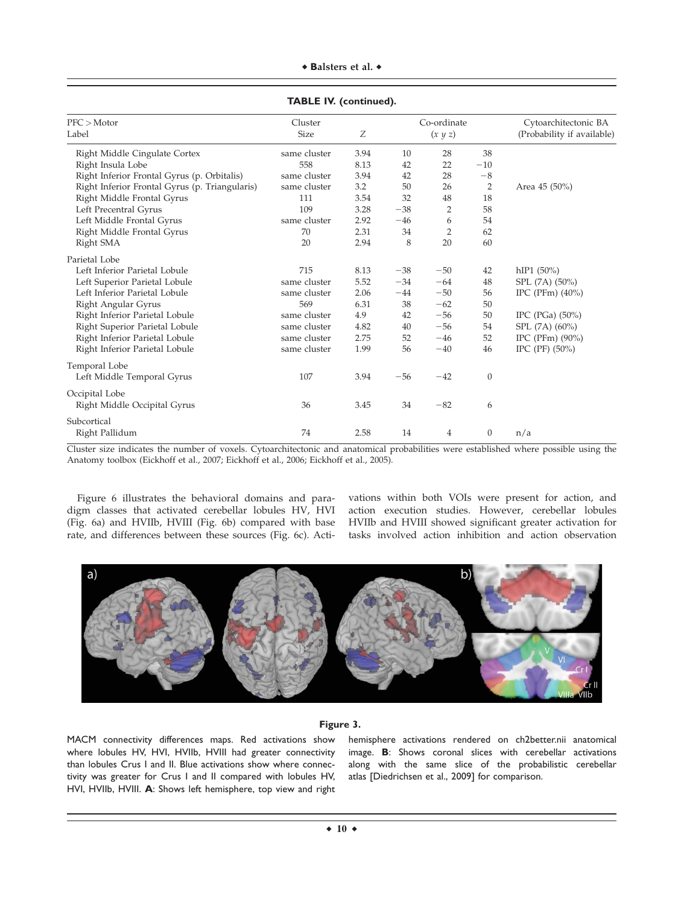|  | $\bullet$ Balsters et al. $\bullet$ |  |  |  |
|--|-------------------------------------|--|--|--|
|--|-------------------------------------|--|--|--|

| PFC > Motor<br>Label                           | Cluster<br><b>Size</b> | Ζ    |       | Co-ordinate<br>(x y z) |                  | Cytoarchitectonic BA<br>(Probability if available) |
|------------------------------------------------|------------------------|------|-------|------------------------|------------------|----------------------------------------------------|
| Right Middle Cingulate Cortex                  | same cluster           | 3.94 | 10    | 28                     | 38               |                                                    |
| Right Insula Lobe                              | 558                    | 8.13 | 42    | 22                     | $-10$            |                                                    |
| Right Inferior Frontal Gyrus (p. Orbitalis)    | same cluster           | 3.94 | 42    | 28                     | $-8$             |                                                    |
| Right Inferior Frontal Gyrus (p. Triangularis) | same cluster           | 3.2  | 50    | 26                     | 2                | Area 45 (50%)                                      |
| Right Middle Frontal Gyrus                     | 111                    | 3.54 | 32    | 48                     | 18               |                                                    |
| Left Precentral Gyrus                          | 109                    | 3.28 | $-38$ | $\overline{2}$         | 58               |                                                    |
| Left Middle Frontal Gyrus                      | same cluster           | 2.92 | $-46$ | 6                      | 54               |                                                    |
| Right Middle Frontal Gyrus                     | 70                     | 2.31 | 34    | 2                      | 62               |                                                    |
| Right SMA                                      | 20                     | 2.94 | 8     | 20                     | 60               |                                                    |
| Parietal Lobe                                  |                        |      |       |                        |                  |                                                    |
| Left Inferior Parietal Lobule                  | 715                    | 8.13 | $-38$ | $-50$                  | 42               | $hIP1(50\%)$                                       |
| Left Superior Parietal Lobule                  | same cluster           | 5.52 | $-34$ | $-64$                  | 48               | SPL (7A) (50%)                                     |
| Left Inferior Parietal Lobule                  | same cluster           | 2.06 | $-44$ | $-50$                  | 56               | IPC (PFm) $(40\%)$                                 |
| Right Angular Gyrus                            | 569                    | 6.31 | 38    | $-62$                  | 50               |                                                    |
| Right Inferior Parietal Lobule                 | same cluster           | 4.9  | 42    | $-56$                  | 50               | IPC (PGa) $(50\%)$                                 |
| Right Superior Parietal Lobule                 | same cluster           | 4.82 | 40    | $-56$                  | 54               | SPL (7A) (60%)                                     |
| Right Inferior Parietal Lobule                 | same cluster           | 2.75 | 52    | $-46$                  | 52               | IPC (PFm) $(90\%)$                                 |
| Right Inferior Parietal Lobule                 | same cluster           | 1.99 | 56    | $-40$                  | 46               | IPC (PF) $(50\%)$                                  |
| Temporal Lobe                                  |                        |      |       |                        |                  |                                                    |
| Left Middle Temporal Gyrus                     | 107                    | 3.94 | $-56$ | $-42$                  | $\mathbf{0}$     |                                                    |
| Occipital Lobe                                 |                        |      |       |                        |                  |                                                    |
| Right Middle Occipital Gyrus                   | 36                     | 3.45 | 34    | $-82$                  | 6                |                                                    |
| Subcortical                                    |                        |      |       |                        |                  |                                                    |
| Right Pallidum                                 | 74                     | 2.58 | 14    | 4                      | $\boldsymbol{0}$ | n/a                                                |

**TABLE IV. (continued).**

Cluster size indicates the number of voxels. Cytoarchitectonic and anatomical probabilities were established where possible using the Anatomy toolbox (Eickhoff et al., 2007; Eickhoff et al., 2006; Eickhoff et al., 2005).

Figure 6 illustrates the behavioral domains and paradigm classes that activated cerebellar lobules HV, HVI (Fig. 6a) and HVIIb, HVIII (Fig. 6b) compared with base rate, and differences between these sources (Fig. 6c). Acti-

vations within both VOIs were present for action, and action execution studies. However, cerebellar lobules HVIIb and HVIII showed significant greater activation for tasks involved action inhibition and action observation



## **Figure 3.**

MACM connectivity differences maps. Red activations show where lobules HV, HVI, HVIIb, HVIII had greater connectivity than lobules Crus I and II. Blue activations show where connectivity was greater for Crus I and II compared with lobules HV, HVI, HVIIb, HVIII. **A**: Shows left hemisphere, top view and right

hemisphere activations rendered on ch2better.nii anatomical image. **B**: Shows coronal slices with cerebellar activations along with the same slice of the probabilistic cerebellar atlas [Diedrichsen et al., 2009] for comparison.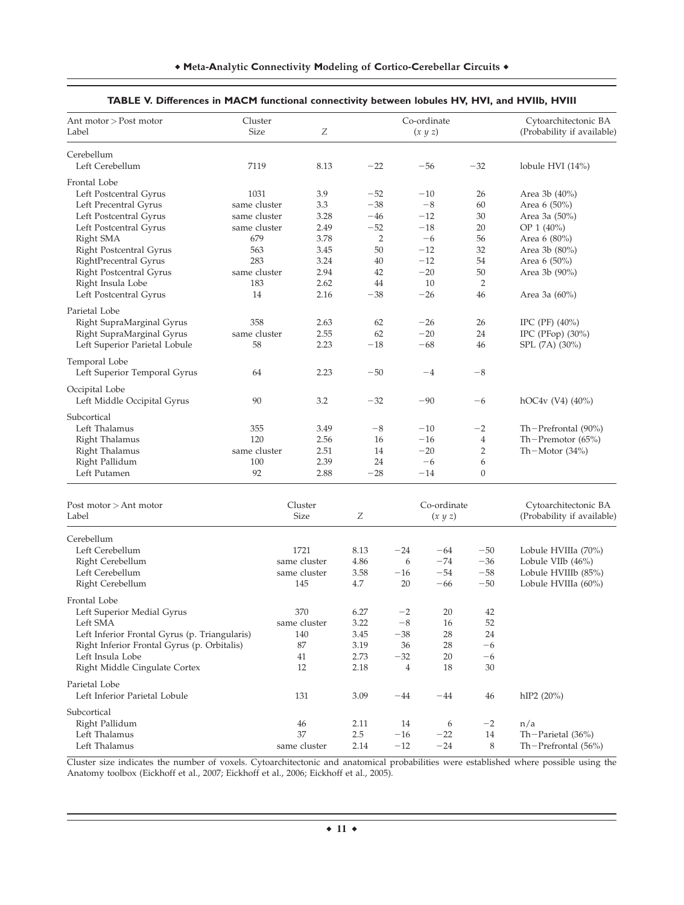| Ant motor > Post motor<br>Label               | Cluster<br>Size | Ζ            |                | Co-ordinate<br>$(x \vee z)$ |               |                | Cytoarchitectonic BA<br>(Probability if available) |
|-----------------------------------------------|-----------------|--------------|----------------|-----------------------------|---------------|----------------|----------------------------------------------------|
|                                               |                 |              |                |                             |               |                |                                                    |
| Cerebellum<br>Left Cerebellum                 | 7119            | 8.13         | $-22$          |                             | $-56$         | $-32$          | lobule HVI $(14\%)$                                |
|                                               |                 |              |                |                             |               |                |                                                    |
| Frontal Lobe                                  |                 |              |                |                             |               |                |                                                    |
| Left Postcentral Gyrus                        | 1031            | 3.9          | $-52$          |                             | $-10$         | 26             | Area 3b (40%)                                      |
| Left Precentral Gyrus                         | same cluster    | 3.3          | $-38$          |                             | $-8$          | 60             | Area $6(50\%)$                                     |
| Left Postcentral Gyrus                        | same cluster    | 3.28         | $-46$          |                             | $-12$         | 30             | Area 3a (50%)                                      |
| Left Postcentral Gyrus                        | same cluster    | 2.49         | $-52$          |                             | $-18$         | 20             | OP 1 (40%)                                         |
| Right SMA                                     | 679             | 3.78         | $\overline{2}$ |                             | $-6$          | 56             | Area 6 (80%)                                       |
| Right Postcentral Gyrus                       | 563             | 3.45         | 50             |                             | $-12$         | 32             | Area 3b (80%)                                      |
| RightPrecentral Gyrus                         | 283             | 3.24         | 40             |                             | $-12$         | 54             | Area $6(50\%)$                                     |
| Right Postcentral Gyrus                       | same cluster    | 2.94         | 42             |                             | $-20$         | 50             | Area 3b (90%)                                      |
| Right Insula Lobe                             | 183             | 2.62         | 44             |                             | 10            | $\overline{2}$ |                                                    |
| Left Postcentral Gyrus                        | 14              | 2.16         | $-38$          |                             | $-26$         | 46             | Area 3a $(60\%)$                                   |
| Parietal Lobe                                 |                 |              |                |                             |               |                |                                                    |
| Right SupraMarginal Gyrus                     | 358             | 2.63         | 62             |                             | $-26$         | 26             | IPC (PF) $(40\%)$                                  |
| Right SupraMarginal Gyrus                     | same cluster    | 2.55         | 62             |                             | $-20$         | 24             | IPC (PFop) $(30\%)$                                |
| Left Superior Parietal Lobule                 | 58              | 2.23         | $-18$          |                             | $-68$         | 46             | SPL (7A) (30%)                                     |
|                                               |                 |              |                |                             |               |                |                                                    |
| Temporal Lobe                                 |                 |              |                |                             |               |                |                                                    |
| Left Superior Temporal Gyrus                  | 64              | 2.23         | $-50$          |                             | $-4$          | $-8$           |                                                    |
| Occipital Lobe                                |                 |              |                |                             |               |                |                                                    |
| Left Middle Occipital Gyrus                   | 90              | 3.2          | $-32$          |                             | $-90$         | -6             | $hOC4v$ (V4) (40%)                                 |
| Subcortical                                   |                 |              |                |                             |               |                |                                                    |
| Left Thalamus                                 |                 |              |                |                             |               | $-2$           |                                                    |
|                                               | 355             | 3.49         | $-8$           |                             | $-10$         |                | Th-Prefrontal (90%)                                |
| <b>Right Thalamus</b>                         | 120             | 2.56         | 16             |                             | $-16$         | 4              | Th-Premotor $(65\%)$                               |
| Right Thalamus                                | same cluster    | 2.51         | 14             |                             | $-20$         | $\overline{2}$ | Th-Motor $(34\%)$                                  |
| Right Pallidum                                | 100             | 2.39         | 24             |                             | $-6$          | 6              |                                                    |
| Left Putamen                                  | 92              | 2.88         | $-28$          |                             | $-14$         | $\theta$       |                                                    |
|                                               |                 |              |                |                             |               |                |                                                    |
| Post motor > Ant motor                        |                 | Cluster      |                |                             | Co-ordinate   |                | Cytoarchitectonic BA                               |
| Label                                         |                 | Size         | Ζ              |                             | $(x \ y \ z)$ |                | (Probability if available)                         |
| Cerebellum                                    |                 |              |                |                             |               |                |                                                    |
| Left Cerebellum                               |                 | 1721         | 8.13           | $-24$                       | $-64$         | $-50$          | Lobule HVIIIa (70%)                                |
|                                               |                 |              | 4.86           |                             | $-74$         |                |                                                    |
| Right Cerebellum                              |                 | same cluster |                | 6                           |               | $-36$          | Lobule VIIb (46%)                                  |
| Left Cerebellum                               |                 | same cluster | 3.58           | $-16$                       | $-54$         | $-58$          | Lobule HVIIIb (85%)                                |
| Right Cerebellum                              |                 | 145          | 4.7            | 20                          | $-66$         | $-50$          | Lobule HVIIIa (60%)                                |
| Frontal Lobe                                  |                 |              |                |                             |               |                |                                                    |
| Left Superior Medial Gyrus                    |                 | 370          | 6.27           | $^{-2}$                     | $20\,$        | 42             |                                                    |
| Left SMA                                      |                 | same cluster | 3.22           | $-8\,$                      | 16            | 52             |                                                    |
| Left Inferior Frontal Gyrus (p. Triangularis) |                 | 140          | 3.45           | $-38$                       | 28            | 24             |                                                    |
| Right Inferior Frontal Gyrus (p. Orbitalis)   |                 | 87           | 3.19           | 36                          | 28            | $-6$           |                                                    |
| Left Insula Lobe                              |                 | 41           | 2.73           | $-32$                       | $20\,$        | $-6$           |                                                    |
| Right Middle Cingulate Cortex                 |                 | 12           | 2.18           | 4                           | 18            | 30             |                                                    |
| Parietal Lobe                                 |                 |              |                |                             |               |                |                                                    |
| Left Inferior Parietal Lobule                 |                 | 131          | 3.09           | $-44$                       | $-44$         | 46             | hIP2(20%)                                          |
| Subcortical                                   |                 |              |                |                             |               |                |                                                    |
| Right Pallidum                                |                 | 46           | 2.11           | 14                          | 6             | $-2$           | n/a                                                |
| Left Thalamus                                 |                 | 37           | 2.5            | $-16$                       | $-22$         | 14             | Th-Parietal $(36\%)$                               |
| Left Thalamus                                 |                 | same cluster | 2.14           | $-12$                       | $-24$         | 8              | $Th-Prefrontal (56%)$                              |
|                                               |                 |              |                |                             |               |                |                                                    |

# **TABLE V. Differences in MACM functional connectivity between lobules HV, HVI, and HVIIb, HVIII**

Cluster size indicates the number of voxels. Cytoarchitectonic and anatomical probabilities were established where possible using the Anatomy toolbox (Eickhoff et al., 2007; Eickhoff et al., 2006; Eickhoff et al., 2005).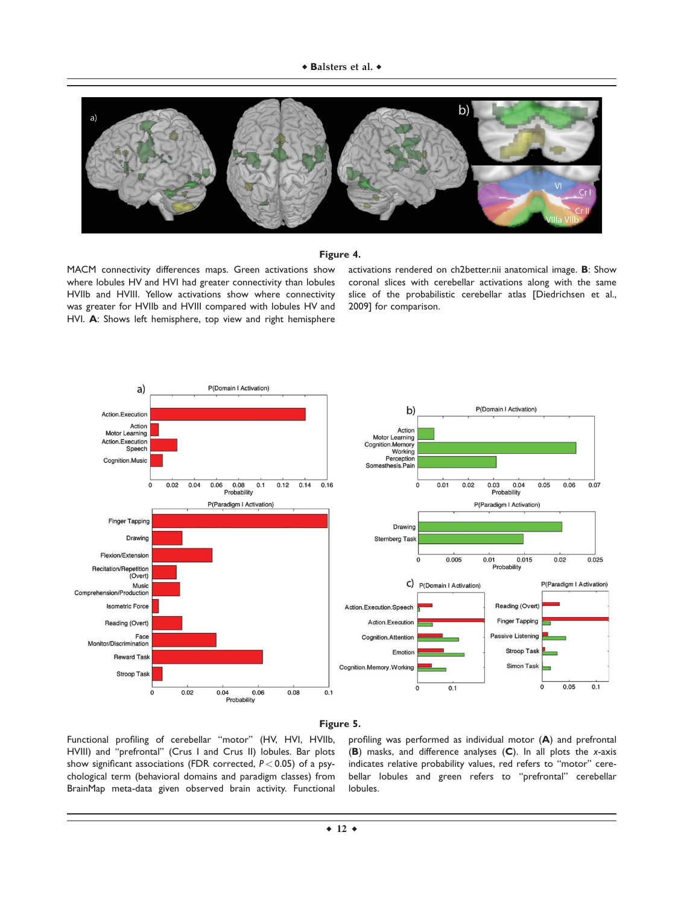# ◆ Balsters et al. ◆



### **Figure 4.**

MACM connectivity differences maps. Green activations show where lobules HV and HVI had greater connectivity than lobules HVIIb and HVIII. Yellow activations show where connectivity was greater for HVIIb and HVIII compared with lobules HV and HVI. **A**: Shows left hemisphere, top view and right hemisphere activations rendered on ch2better.nii anatomical image. **B**: Show coronal slices with cerebellar activations along with the same slice of the probabilistic cerebellar atlas [Diedrichsen et al., 2009] for comparison.





Functional profiling of cerebellar "motor" (HV, HVI, HVIIb, HVIII) and "prefrontal" (Crus I and Crus II) lobules. Bar plots show significant associations (FDR corrected, *P* < 0.05) of a psychological term (behavioral domains and paradigm classes) from BrainMap meta-data given observed brain activity. Functional

profiling was performed as individual motor (**A**) and prefrontal (**B**) masks, and difference analyses (**C**). In all plots the *x*-axis indicates relative probability values, red refers to "motor" cerebellar lobules and green refers to "prefrontal" cerebellar lobules.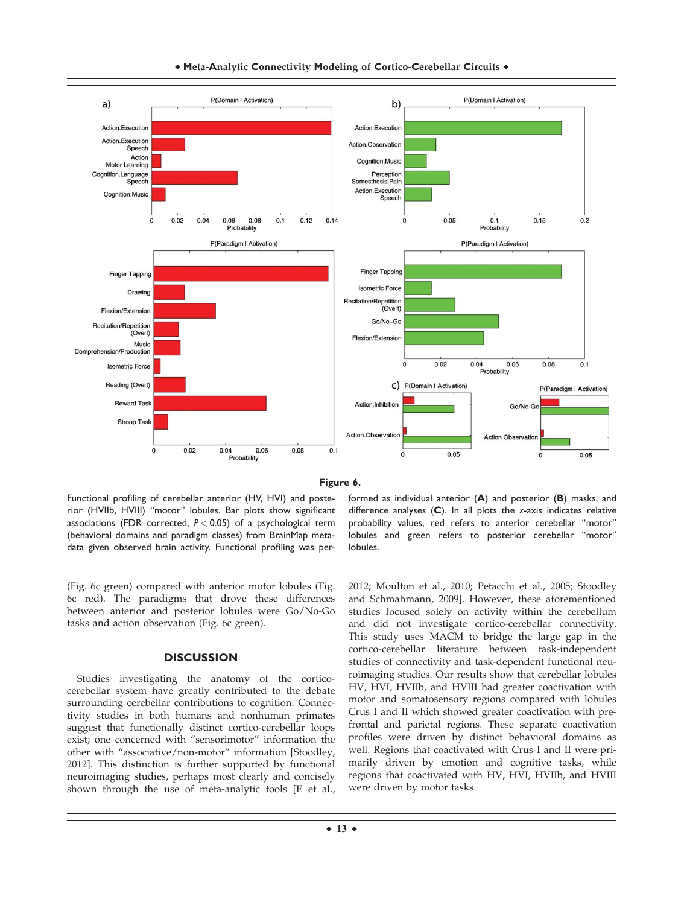



Functional profiling of cerebellar anterior (HV, HVI) and posterior (HVIIb, HVIII) "motor" lobules. Bar plots show significant associations (FDR corrected, *P* < 0.05) of a psychological term (behavioral domains and paradigm classes) from BrainMap metadata given observed brain activity. Functional profiling was per-

(Fig. 6c green) compared with anterior motor lobules (Fig. 6c red). The paradigms that drove these differences between anterior and posterior lobules were Go/No-Go tasks and action observation (Fig. 6c green).

# **DISCUSSION**

Studies investigating the anatomy of the corticocerebellar system have greatly contributed to the debate surrounding cerebellar contributions to cognition. Connectivity studies in both humans and nonhuman primates suggest that functionally distinct cortico-cerebellar loops exist; one concerned with "sensorimotor" information the other with "associative/non-motor" information [Stoodley, 2012]. This distinction is further supported by functional neuroimaging studies, perhaps most clearly and concisely shown through the use of meta-analytic tools [E et al.,

formed as individual anterior (**A**) and posterior (**B**) masks, and difference analyses (**C**). In all plots the *x*-axis indicates relative probability values, red refers to anterior cerebellar "motor" lobules and green refers to posterior cerebellar "motor" lobules.

2012; Moulton et al., 2010; Petacchi et al., 2005; Stoodley and Schmahmann, 2009]. However, these aforementioned studies focused solely on activity within the cerebellum and did not investigate cortico-cerebellar connectivity. This study uses MACM to bridge the large gap in the cortico-cerebellar literature between task-independent studies of connectivity and task-dependent functional neuroimaging studies. Our results show that cerebellar lobules HV, HVI, HVIIb, and HVIII had greater coactivation with motor and somatosensory regions compared with lobules Crus I and II which showed greater coactivation with prefrontal and parietal regions. These separate coactivation profiles were driven by distinct behavioral domains as well. Regions that coactivated with Crus I and II were primarily driven by emotion and cognitive tasks, while regions that coactivated with HV, HVI, HVIIb, and HVIII were driven by motor tasks.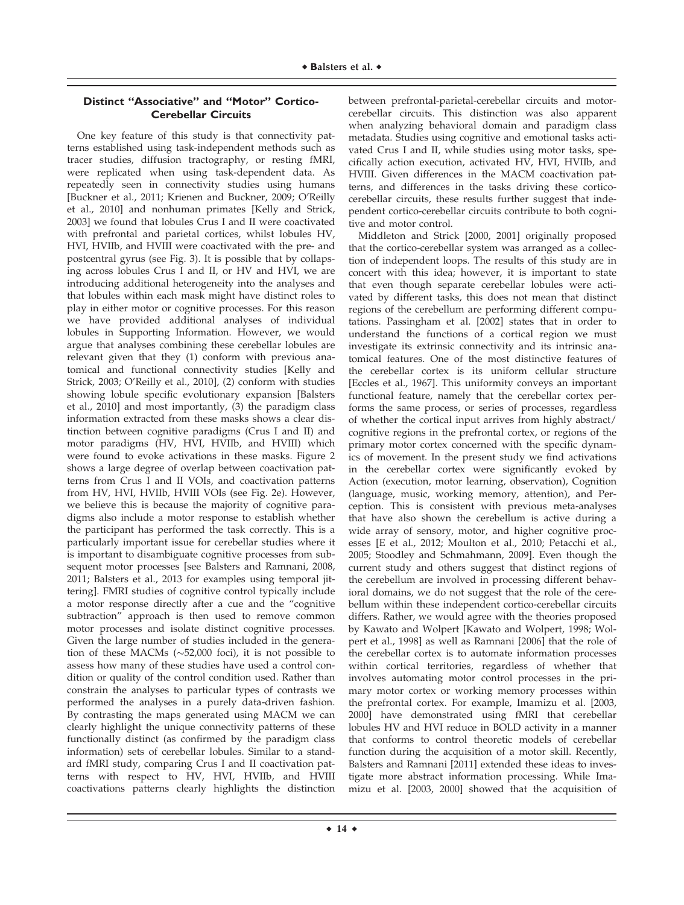# **Distinct "Associative" and "Motor" Cortico-Cerebellar Circuits**

One key feature of this study is that connectivity patterns established using task-independent methods such as tracer studies, diffusion tractography, or resting fMRI, were replicated when using task-dependent data. As repeatedly seen in connectivity studies using humans [Buckner et al., 2011; Krienen and Buckner, 2009; O'Reilly et al., 2010] and nonhuman primates [Kelly and Strick, 2003] we found that lobules Crus I and II were coactivated with prefrontal and parietal cortices, whilst lobules HV, HVI, HVIIb, and HVIII were coactivated with the pre- and postcentral gyrus (see Fig. 3). It is possible that by collapsing across lobules Crus I and II, or HV and HVI, we are introducing additional heterogeneity into the analyses and that lobules within each mask might have distinct roles to play in either motor or cognitive processes. For this reason we have provided additional analyses of individual lobules in Supporting Information. However, we would argue that analyses combining these cerebellar lobules are relevant given that they (1) conform with previous anatomical and functional connectivity studies [Kelly and Strick, 2003; O'Reilly et al., 2010], (2) conform with studies showing lobule specific evolutionary expansion [Balsters et al., 2010] and most importantly, (3) the paradigm class information extracted from these masks shows a clear distinction between cognitive paradigms (Crus I and II) and motor paradigms (HV, HVI, HVIIb, and HVIII) which were found to evoke activations in these masks. Figure 2 shows a large degree of overlap between coactivation patterns from Crus I and II VOIs, and coactivation patterns from HV, HVI, HVIIb, HVIII VOIs (see Fig. 2e). However, we believe this is because the majority of cognitive paradigms also include a motor response to establish whether the participant has performed the task correctly. This is a particularly important issue for cerebellar studies where it is important to disambiguate cognitive processes from subsequent motor processes [see Balsters and Ramnani, 2008, 2011; Balsters et al., 2013 for examples using temporal jittering]. FMRI studies of cognitive control typically include a motor response directly after a cue and the "cognitive subtraction" approach is then used to remove common motor processes and isolate distinct cognitive processes. Given the large number of studies included in the generation of these MACMs  $(\sim52,000)$  foci), it is not possible to assess how many of these studies have used a control condition or quality of the control condition used. Rather than constrain the analyses to particular types of contrasts we performed the analyses in a purely data-driven fashion. By contrasting the maps generated using MACM we can clearly highlight the unique connectivity patterns of these functionally distinct (as confirmed by the paradigm class information) sets of cerebellar lobules. Similar to a standard fMRI study, comparing Crus I and II coactivation patterns with respect to HV, HVI, HVIIb, and HVIII coactivations patterns clearly highlights the distinction

between prefrontal-parietal-cerebellar circuits and motorcerebellar circuits. This distinction was also apparent when analyzing behavioral domain and paradigm class metadata. Studies using cognitive and emotional tasks activated Crus I and II, while studies using motor tasks, specifically action execution, activated HV, HVI, HVIIb, and HVIII. Given differences in the MACM coactivation patterns, and differences in the tasks driving these corticocerebellar circuits, these results further suggest that independent cortico-cerebellar circuits contribute to both cognitive and motor control.

Middleton and Strick [2000, 2001] originally proposed that the cortico-cerebellar system was arranged as a collection of independent loops. The results of this study are in concert with this idea; however, it is important to state that even though separate cerebellar lobules were activated by different tasks, this does not mean that distinct regions of the cerebellum are performing different computations. Passingham et al. [2002] states that in order to understand the functions of a cortical region we must investigate its extrinsic connectivity and its intrinsic anatomical features. One of the most distinctive features of the cerebellar cortex is its uniform cellular structure [Eccles et al., 1967]. This uniformity conveys an important functional feature, namely that the cerebellar cortex performs the same process, or series of processes, regardless of whether the cortical input arrives from highly abstract/ cognitive regions in the prefrontal cortex, or regions of the primary motor cortex concerned with the specific dynamics of movement. In the present study we find activations in the cerebellar cortex were significantly evoked by Action (execution, motor learning, observation), Cognition (language, music, working memory, attention), and Perception. This is consistent with previous meta-analyses that have also shown the cerebellum is active during a wide array of sensory, motor, and higher cognitive processes [E et al., 2012; Moulton et al., 2010; Petacchi et al., 2005; Stoodley and Schmahmann, 2009]. Even though the current study and others suggest that distinct regions of the cerebellum are involved in processing different behavioral domains, we do not suggest that the role of the cerebellum within these independent cortico-cerebellar circuits differs. Rather, we would agree with the theories proposed by Kawato and Wolpert [Kawato and Wolpert, 1998; Wolpert et al., 1998] as well as Ramnani [2006] that the role of the cerebellar cortex is to automate information processes within cortical territories, regardless of whether that involves automating motor control processes in the primary motor cortex or working memory processes within the prefrontal cortex. For example, Imamizu et al. [2003, 2000] have demonstrated using fMRI that cerebellar lobules HV and HVI reduce in BOLD activity in a manner that conforms to control theoretic models of cerebellar function during the acquisition of a motor skill. Recently, Balsters and Ramnani [2011] extended these ideas to investigate more abstract information processing. While Imamizu et al. [2003, 2000] showed that the acquisition of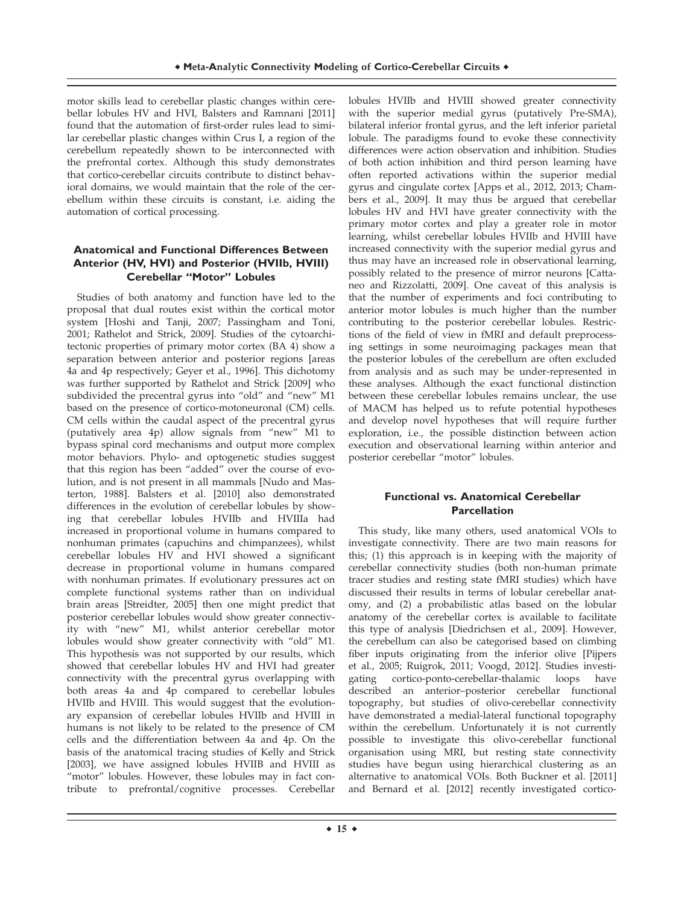motor skills lead to cerebellar plastic changes within cerebellar lobules HV and HVI, Balsters and Ramnani [2011] found that the automation of first-order rules lead to similar cerebellar plastic changes within Crus I, a region of the cerebellum repeatedly shown to be interconnected with the prefrontal cortex. Although this study demonstrates that cortico-cerebellar circuits contribute to distinct behavioral domains, we would maintain that the role of the cerebellum within these circuits is constant, i.e. aiding the automation of cortical processing.

# **Anatomical and Functional Differences Between Anterior (HV, HVI) and Posterior (HVIIb, HVIII) Cerebellar "Motor" Lobules**

Studies of both anatomy and function have led to the proposal that dual routes exist within the cortical motor system [Hoshi and Tanji, 2007; Passingham and Toni, 2001; Rathelot and Strick, 2009]. Studies of the cytoarchitectonic properties of primary motor cortex (BA 4) show a separation between anterior and posterior regions [areas 4a and 4p respectively; Geyer et al., 1996]. This dichotomy was further supported by Rathelot and Strick [2009] who subdivided the precentral gyrus into "old" and "new" M1 based on the presence of cortico-motoneuronal (CM) cells. CM cells within the caudal aspect of the precentral gyrus (putatively area 4p) allow signals from "new" M1 to bypass spinal cord mechanisms and output more complex motor behaviors. Phylo- and optogenetic studies suggest that this region has been "added" over the course of evolution, and is not present in all mammals [Nudo and Masterton, 1988]. Balsters et al. [2010] also demonstrated differences in the evolution of cerebellar lobules by showing that cerebellar lobules HVIIb and HVIIIa had increased in proportional volume in humans compared to nonhuman primates (capuchins and chimpanzees), whilst cerebellar lobules HV and HVI showed a significant decrease in proportional volume in humans compared with nonhuman primates. If evolutionary pressures act on complete functional systems rather than on individual brain areas [Streidter, 2005] then one might predict that posterior cerebellar lobules would show greater connectivity with "new" M1, whilst anterior cerebellar motor lobules would show greater connectivity with "old" M1. This hypothesis was not supported by our results, which showed that cerebellar lobules HV and HVI had greater connectivity with the precentral gyrus overlapping with both areas 4a and 4p compared to cerebellar lobules HVIIb and HVIII. This would suggest that the evolutionary expansion of cerebellar lobules HVIIb and HVIII in humans is not likely to be related to the presence of CM cells and the differentiation between 4a and 4p. On the basis of the anatomical tracing studies of Kelly and Strick [2003], we have assigned lobules HVIIB and HVIII as "motor" lobules. However, these lobules may in fact contribute to prefrontal/cognitive processes. Cerebellar

lobules HVIIb and HVIII showed greater connectivity with the superior medial gyrus (putatively Pre-SMA), bilateral inferior frontal gyrus, and the left inferior parietal lobule. The paradigms found to evoke these connectivity differences were action observation and inhibition. Studies of both action inhibition and third person learning have often reported activations within the superior medial gyrus and cingulate cortex [Apps et al., 2012, 2013; Chambers et al., 2009]. It may thus be argued that cerebellar lobules HV and HVI have greater connectivity with the primary motor cortex and play a greater role in motor learning, whilst cerebellar lobules HVIIb and HVIII have increased connectivity with the superior medial gyrus and thus may have an increased role in observational learning, possibly related to the presence of mirror neurons [Cattaneo and Rizzolatti, 2009]. One caveat of this analysis is that the number of experiments and foci contributing to anterior motor lobules is much higher than the number contributing to the posterior cerebellar lobules. Restrictions of the field of view in fMRI and default preprocessing settings in some neuroimaging packages mean that the posterior lobules of the cerebellum are often excluded from analysis and as such may be under-represented in these analyses. Although the exact functional distinction between these cerebellar lobules remains unclear, the use of MACM has helped us to refute potential hypotheses and develop novel hypotheses that will require further exploration, i.e., the possible distinction between action execution and observational learning within anterior and posterior cerebellar "motor" lobules.

# **Functional vs. Anatomical Cerebellar Parcellation**

This study, like many others, used anatomical VOIs to investigate connectivity. There are two main reasons for this; (1) this approach is in keeping with the majority of cerebellar connectivity studies (both non-human primate tracer studies and resting state fMRI studies) which have discussed their results in terms of lobular cerebellar anatomy, and (2) a probabilistic atlas based on the lobular anatomy of the cerebellar cortex is available to facilitate this type of analysis [Diedrichsen et al., 2009]. However, the cerebellum can also be categorised based on climbing fiber inputs originating from the inferior olive [Pijpers et al., 2005; Ruigrok, 2011; Voogd, 2012]. Studies investigating cortico-ponto-cerebellar-thalamic loops have described an anterior–posterior cerebellar functional topography, but studies of olivo-cerebellar connectivity have demonstrated a medial-lateral functional topography within the cerebellum. Unfortunately it is not currently possible to investigate this olivo-cerebellar functional organisation using MRI, but resting state connectivity studies have begun using hierarchical clustering as an alternative to anatomical VOIs. Both Buckner et al. [2011] and Bernard et al. [2012] recently investigated cortico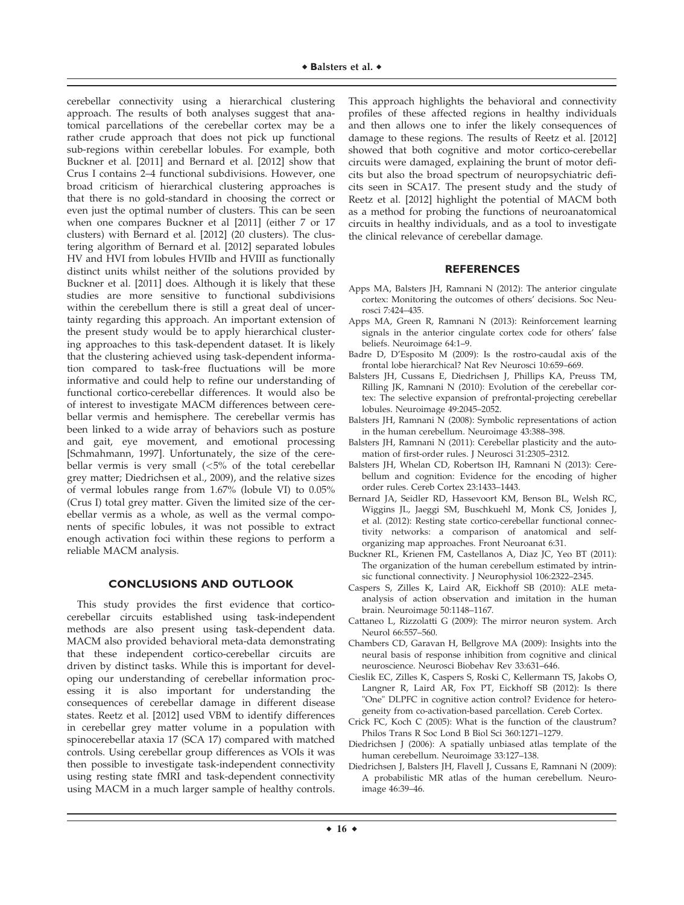cerebellar connectivity using a hierarchical clustering approach. The results of both analyses suggest that anatomical parcellations of the cerebellar cortex may be a rather crude approach that does not pick up functional sub-regions within cerebellar lobules. For example, both Buckner et al. [2011] and Bernard et al. [2012] show that Crus I contains 2–4 functional subdivisions. However, one broad criticism of hierarchical clustering approaches is that there is no gold-standard in choosing the correct or even just the optimal number of clusters. This can be seen when one compares Buckner et al [2011] (either 7 or 17 clusters) with Bernard et al. [2012] (20 clusters). The clustering algorithm of Bernard et al. [2012] separated lobules HV and HVI from lobules HVIIb and HVIII as functionally distinct units whilst neither of the solutions provided by Buckner et al. [2011] does. Although it is likely that these studies are more sensitive to functional subdivisions within the cerebellum there is still a great deal of uncertainty regarding this approach. An important extension of the present study would be to apply hierarchical clustering approaches to this task-dependent dataset. It is likely that the clustering achieved using task-dependent information compared to task-free fluctuations will be more informative and could help to refine our understanding of functional cortico-cerebellar differences. It would also be of interest to investigate MACM differences between cerebellar vermis and hemisphere. The cerebellar vermis has been linked to a wide array of behaviors such as posture and gait, eye movement, and emotional processing [Schmahmann, 1997]. Unfortunately, the size of the cerebellar vermis is very small (<5% of the total cerebellar grey matter; Diedrichsen et al., 2009), and the relative sizes of vermal lobules range from 1.67% (lobule VI) to 0.05% (Crus I) total grey matter. Given the limited size of the cerebellar vermis as a whole, as well as the vermal components of specific lobules, it was not possible to extract enough activation foci within these regions to perform a reliable MACM analysis.

## **CONCLUSIONS AND OUTLOOK**

This study provides the first evidence that corticocerebellar circuits established using task-independent methods are also present using task-dependent data. MACM also provided behavioral meta-data demonstrating that these independent cortico-cerebellar circuits are driven by distinct tasks. While this is important for developing our understanding of cerebellar information processing it is also important for understanding the consequences of cerebellar damage in different disease states. Reetz et al. [2012] used VBM to identify differences in cerebellar grey matter volume in a population with spinocerebellar ataxia 17 (SCA 17) compared with matched controls. Using cerebellar group differences as VOIs it was then possible to investigate task-independent connectivity using resting state fMRI and task-dependent connectivity using MACM in a much larger sample of healthy controls.

This approach highlights the behavioral and connectivity profiles of these affected regions in healthy individuals and then allows one to infer the likely consequences of damage to these regions. The results of Reetz et al. [2012] showed that both cognitive and motor cortico-cerebellar circuits were damaged, explaining the brunt of motor deficits but also the broad spectrum of neuropsychiatric deficits seen in SCA17. The present study and the study of Reetz et al. [2012] highlight the potential of MACM both as a method for probing the functions of neuroanatomical circuits in healthy individuals, and as a tool to investigate the clinical relevance of cerebellar damage.

## **REFERENCES**

- Apps MA, Balsters JH, Ramnani N (2012): The anterior cingulate cortex: Monitoring the outcomes of others' decisions. Soc Neurosci 7:424–435.
- Apps MA, Green R, Ramnani N (2013): Reinforcement learning signals in the anterior cingulate cortex code for others' false beliefs. Neuroimage 64:1–9.
- Badre D, D'Esposito M (2009): Is the rostro-caudal axis of the frontal lobe hierarchical? Nat Rev Neurosci 10:659–669.
- Balsters JH, Cussans E, Diedrichsen J, Phillips KA, Preuss TM, Rilling JK, Ramnani N (2010): Evolution of the cerebellar cortex: The selective expansion of prefrontal-projecting cerebellar lobules. Neuroimage 49:2045–2052.
- Balsters JH, Ramnani N (2008): Symbolic representations of action in the human cerebellum. Neuroimage 43:388–398.
- Balsters JH, Ramnani N (2011): Cerebellar plasticity and the automation of first-order rules. J Neurosci 31:2305–2312.
- Balsters JH, Whelan CD, Robertson IH, Ramnani N (2013): Cerebellum and cognition: Evidence for the encoding of higher order rules. Cereb Cortex 23:1433–1443.
- Bernard JA, Seidler RD, Hassevoort KM, Benson BL, Welsh RC, Wiggins JL, Jaeggi SM, Buschkuehl M, Monk CS, Jonides J, et al. (2012): Resting state cortico-cerebellar functional connectivity networks: a comparison of anatomical and selforganizing map approaches. Front Neuroanat 6:31.
- Buckner RL, Krienen FM, Castellanos A, Diaz JC, Yeo BT (2011): The organization of the human cerebellum estimated by intrinsic functional connectivity. J Neurophysiol 106:2322–2345.
- Caspers S, Zilles K, Laird AR, Eickhoff SB (2010): ALE metaanalysis of action observation and imitation in the human brain. Neuroimage 50:1148–1167.
- Cattaneo L, Rizzolatti G (2009): The mirror neuron system. Arch Neurol 66:557–560.
- Chambers CD, Garavan H, Bellgrove MA (2009): Insights into the neural basis of response inhibition from cognitive and clinical neuroscience. Neurosci Biobehav Rev 33:631–646.
- Cieslik EC, Zilles K, Caspers S, Roski C, Kellermann TS, Jakobs O, Langner R, Laird AR, Fox PT, Eickhoff SB (2012): Is there "One" DLPFC in cognitive action control? Evidence for heterogeneity from co-activation-based parcellation. Cereb Cortex.
- Crick FC, Koch C (2005): What is the function of the claustrum? Philos Trans R Soc Lond B Biol Sci 360:1271–1279.
- Diedrichsen J (2006): A spatially unbiased atlas template of the human cerebellum. Neuroimage 33:127–138.
- Diedrichsen J, Balsters JH, Flavell J, Cussans E, Ramnani N (2009): A probabilistic MR atlas of the human cerebellum. Neuroimage 46:39–46.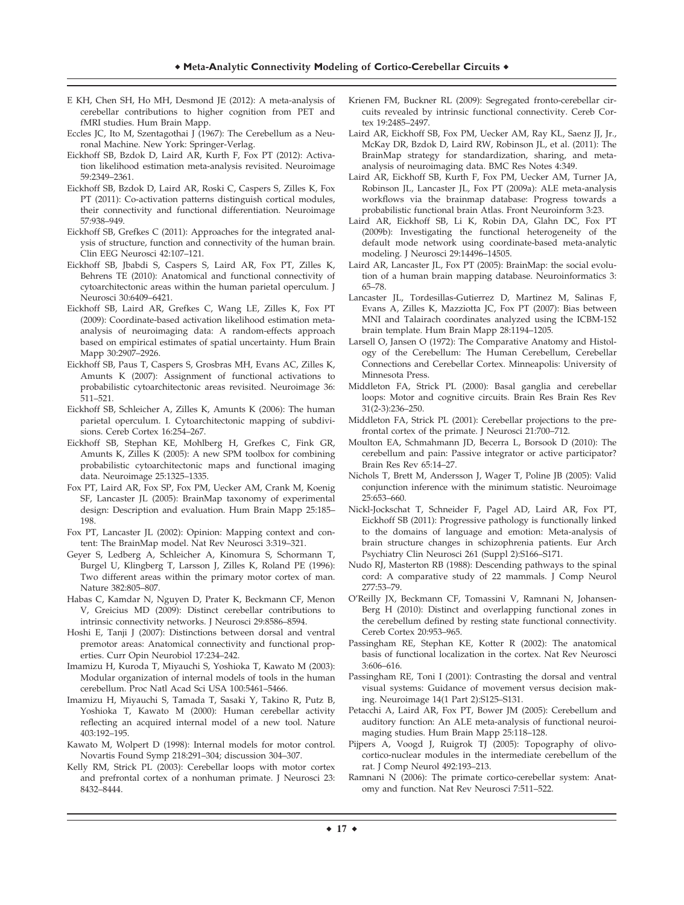- E KH, Chen SH, Ho MH, Desmond JE (2012): A meta-analysis of cerebellar contributions to higher cognition from PET and fMRI studies. Hum Brain Mapp.
- Eccles JC, Ito M, Szentagothai J (1967): The Cerebellum as a Neuronal Machine. New York: Springer-Verlag.
- Eickhoff SB, Bzdok D, Laird AR, Kurth F, Fox PT (2012): Activation likelihood estimation meta-analysis revisited. Neuroimage 59:2349–2361.
- Eickhoff SB, Bzdok D, Laird AR, Roski C, Caspers S, Zilles K, Fox PT (2011): Co-activation patterns distinguish cortical modules, their connectivity and functional differentiation. Neuroimage 57:938–949.
- Eickhoff SB, Grefkes C (2011): Approaches for the integrated analysis of structure, function and connectivity of the human brain. Clin EEG Neurosci 42:107–121.
- Eickhoff SB, Jbabdi S, Caspers S, Laird AR, Fox PT, Zilles K, Behrens TE (2010): Anatomical and functional connectivity of cytoarchitectonic areas within the human parietal operculum. J Neurosci 30:6409–6421.
- Eickhoff SB, Laird AR, Grefkes C, Wang LE, Zilles K, Fox PT (2009): Coordinate-based activation likelihood estimation metaanalysis of neuroimaging data: A random-effects approach based on empirical estimates of spatial uncertainty. Hum Brain Mapp 30:2907–2926.
- Eickhoff SB, Paus T, Caspers S, Grosbras MH, Evans AC, Zilles K, Amunts K (2007): Assignment of functional activations to probabilistic cytoarchitectonic areas revisited. Neuroimage 36: 511–521.
- Eickhoff SB, Schleicher A, Zilles K, Amunts K (2006): The human parietal operculum. I. Cytoarchitectonic mapping of subdivisions. Cereb Cortex 16:254–267.
- Eickhoff SB, Stephan KE, Mohlberg H, Grefkes C, Fink GR, Amunts K, Zilles K (2005): A new SPM toolbox for combining probabilistic cytoarchitectonic maps and functional imaging data. Neuroimage 25:1325–1335.
- Fox PT, Laird AR, Fox SP, Fox PM, Uecker AM, Crank M, Koenig SF, Lancaster JL (2005): BrainMap taxonomy of experimental design: Description and evaluation. Hum Brain Mapp 25:185– 198.
- Fox PT, Lancaster JL (2002): Opinion: Mapping context and content: The BrainMap model. Nat Rev Neurosci 3:319–321.
- Geyer S, Ledberg A, Schleicher A, Kinomura S, Schormann T, Burgel U, Klingberg T, Larsson J, Zilles K, Roland PE (1996): Two different areas within the primary motor cortex of man. Nature 382:805–807.
- Habas C, Kamdar N, Nguyen D, Prater K, Beckmann CF, Menon V, Greicius MD (2009): Distinct cerebellar contributions to intrinsic connectivity networks. J Neurosci 29:8586–8594.
- Hoshi E, Tanji J (2007): Distinctions between dorsal and ventral premotor areas: Anatomical connectivity and functional properties. Curr Opin Neurobiol 17:234–242.
- Imamizu H, Kuroda T, Miyauchi S, Yoshioka T, Kawato M (2003): Modular organization of internal models of tools in the human cerebellum. Proc Natl Acad Sci USA 100:5461–5466.
- Imamizu H, Miyauchi S, Tamada T, Sasaki Y, Takino R, Putz B, Yoshioka T, Kawato M (2000): Human cerebellar activity reflecting an acquired internal model of a new tool. Nature 403:192–195.
- Kawato M, Wolpert D (1998): Internal models for motor control. Novartis Found Symp 218:291–304; discussion 304–307.
- Kelly RM, Strick PL (2003): Cerebellar loops with motor cortex and prefrontal cortex of a nonhuman primate. J Neurosci 23: 8432–8444.
- Krienen FM, Buckner RL (2009): Segregated fronto-cerebellar circuits revealed by intrinsic functional connectivity. Cereb Cortex 19:2485–2497.
- Laird AR, Eickhoff SB, Fox PM, Uecker AM, Ray KL, Saenz JJ, Jr., McKay DR, Bzdok D, Laird RW, Robinson JL, et al. (2011): The BrainMap strategy for standardization, sharing, and metaanalysis of neuroimaging data. BMC Res Notes 4:349.
- Laird AR, Eickhoff SB, Kurth F, Fox PM, Uecker AM, Turner JA, Robinson JL, Lancaster JL, Fox PT (2009a): ALE meta-analysis workflows via the brainmap database: Progress towards a probabilistic functional brain Atlas. Front Neuroinform 3:23.
- Laird AR, Eickhoff SB, Li K, Robin DA, Glahn DC, Fox PT (2009b): Investigating the functional heterogeneity of the default mode network using coordinate-based meta-analytic modeling. J Neurosci 29:14496–14505.
- Laird AR, Lancaster JL, Fox PT (2005): BrainMap: the social evolution of a human brain mapping database. Neuroinformatics 3: 65–78.
- Lancaster JL, Tordesillas-Gutierrez D, Martinez M, Salinas F, Evans A, Zilles K, Mazziotta JC, Fox PT (2007): Bias between MNI and Talairach coordinates analyzed using the ICBM-152 brain template. Hum Brain Mapp 28:1194–1205.
- Larsell O, Jansen O (1972): The Comparative Anatomy and Histology of the Cerebellum: The Human Cerebellum, Cerebellar Connections and Cerebellar Cortex. Minneapolis: University of Minnesota Press.
- Middleton FA, Strick PL (2000): Basal ganglia and cerebellar loops: Motor and cognitive circuits. Brain Res Brain Res Rev 31(2-3):236–250.
- Middleton FA, Strick PL (2001): Cerebellar projections to the prefrontal cortex of the primate. J Neurosci 21:700–712.
- Moulton EA, Schmahmann JD, Becerra L, Borsook D (2010): The cerebellum and pain: Passive integrator or active participator? Brain Res Rev 65:14–27.
- Nichols T, Brett M, Andersson J, Wager T, Poline JB (2005): Valid conjunction inference with the minimum statistic. Neuroimage 25:653–660.
- Nickl-Jockschat T, Schneider F, Pagel AD, Laird AR, Fox PT, Eickhoff SB (2011): Progressive pathology is functionally linked to the domains of language and emotion: Meta-analysis of brain structure changes in schizophrenia patients. Eur Arch Psychiatry Clin Neurosci 261 (Suppl 2):S166–S171.
- Nudo RJ, Masterton RB (1988): Descending pathways to the spinal cord: A comparative study of 22 mammals. J Comp Neurol 277:53–79.
- O'Reilly JX, Beckmann CF, Tomassini V, Ramnani N, Johansen-Berg H (2010): Distinct and overlapping functional zones in the cerebellum defined by resting state functional connectivity. Cereb Cortex 20:953–965.
- Passingham RE, Stephan KE, Kotter R (2002): The anatomical basis of functional localization in the cortex. Nat Rev Neurosci 3:606–616.
- Passingham RE, Toni I (2001): Contrasting the dorsal and ventral visual systems: Guidance of movement versus decision making. Neuroimage 14(1 Part 2):S125–S131.
- Petacchi A, Laird AR, Fox PT, Bower JM (2005): Cerebellum and auditory function: An ALE meta-analysis of functional neuroimaging studies. Hum Brain Mapp 25:118–128.
- Pijpers A, Voogd J, Ruigrok TJ (2005): Topography of olivocortico-nuclear modules in the intermediate cerebellum of the rat. J Comp Neurol 492:193–213.
- Ramnani N (2006): The primate cortico-cerebellar system: Anatomy and function. Nat Rev Neurosci 7:511–522.